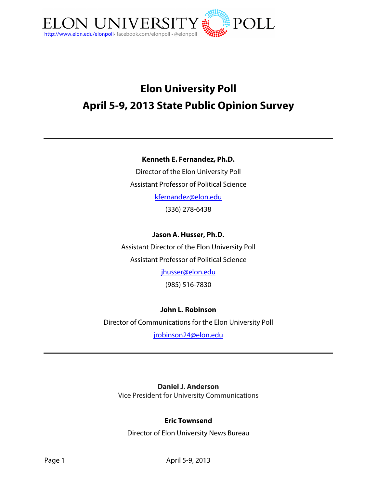

# **Elon University Poll April 5-9, 2013 State Public Opinion Survey**

#### **Kenneth E. Fernandez, Ph.D.**

Director of the Elon University Poll Assistant Professor of Political Science kfernandez@elon.edu

(336) 278-6438

#### **Jason A. Husser, Ph.D.**

Assistant Director of the Elon University Poll Assistant Professor of Political Science

jhusser@elon.edu

(985) 516-7830

#### **John L. Robinson**

Director of Communications for the Elon University Poll

jrobinson24@elon.edu

#### **Daniel J. Anderson**

Vice President for University Communications

#### **Eric Townsend**

Director of Elon University News Bureau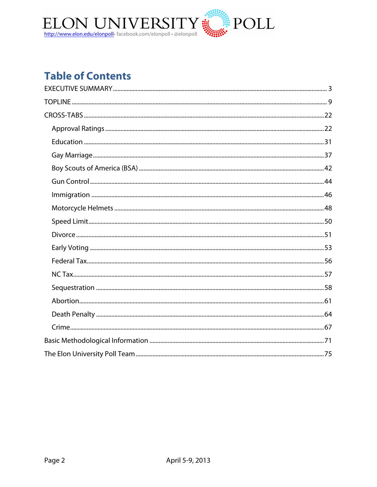

## **Table of Contents**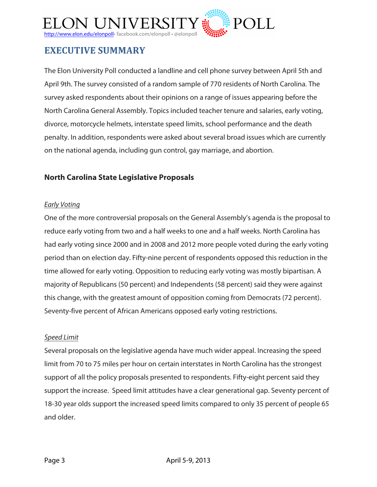

## **EXECUTIVE SUMMARY**

The Elon University Poll conducted a landline and cell phone survey between April 5th and April 9th. The survey consisted of a random sample of 770 residents of North Carolina. The survey asked respondents about their opinions on a range of issues appearing before the North Carolina General Assembly. Topics included teacher tenure and salaries, early voting, divorce, motorcycle helmets, interstate speed limits, school performance and the death penalty. In addition, respondents were asked about several broad issues which are currently on the national agenda, including gun control, gay marriage, and abortion.

#### **North Carolina State Legislative Proposals**

#### *Early Voting*

One of the more controversial proposals on the General Assembly's agenda is the proposal to reduce early voting from two and a half weeks to one and a half weeks. North Carolina has had early voting since 2000 and in 2008 and 2012 more people voted during the early voting period than on election day. Fifty-nine percent of respondents opposed this reduction in the time allowed for early voting. Opposition to reducing early voting was mostly bipartisan. A majority of Republicans (50 percent) and Independents (58 percent) said they were against this change, with the greatest amount of opposition coming from Democrats (72 percent). Seventy-five percent of African Americans opposed early voting restrictions.

#### *Speed Limit*

Several proposals on the legislative agenda have much wider appeal. Increasing the speed limit from 70 to 75 miles per hour on certain interstates in North Carolina has the strongest support of all the policy proposals presented to respondents. Fifty-eight percent said they support the increase. Speed limit attitudes have a clear generational gap. Seventy percent of 18-30 year olds support the increased speed limits compared to only 35 percent of people 65 and older.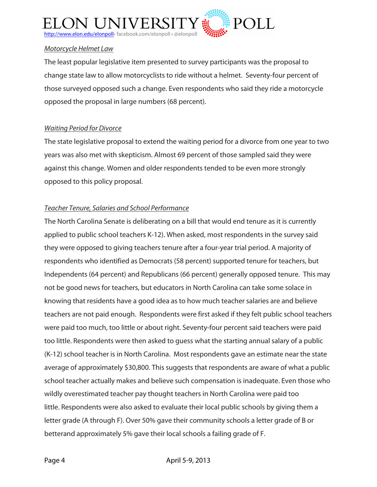

#### *Motorcycle Helmet Law*

The least popular legislative item presented to survey participants was the proposal to change state law to allow motorcyclists to ride without a helmet. Seventy-four percent of those surveyed opposed such a change. Even respondents who said they ride a motorcycle opposed the proposal in large numbers (68 percent).

#### *Waiting Period for Divorce*

The state legislative proposal to extend the waiting period for a divorce from one year to two years was also met with skepticism. Almost 69 percent of those sampled said they were against this change. Women and older respondents tended to be even more strongly opposed to this policy proposal.

#### *Teacher Tenure, Salaries and School Performance*

The North Carolina Senate is deliberating on a bill that would end tenure as it is currently applied to public school teachers K-12). When asked, most respondents in the survey said they were opposed to giving teachers tenure after a four-year trial period. A majority of respondents who identified as Democrats (58 percent) supported tenure for teachers, but Independents (64 percent) and Republicans (66 percent) generally opposed tenure. This may not be good news for teachers, but educators in North Carolina can take some solace in knowing that residents have a good idea as to how much teacher salaries are and believe teachers are not paid enough. Respondents were first asked if they felt public school teachers were paid too much, too little or about right. Seventy-four percent said teachers were paid too little. Respondents were then asked to guess what the starting annual salary of a public (K-12) school teacher is in North Carolina. Most respondents gave an estimate near the state average of approximately \$30,800. This suggests that respondents are aware of what a public school teacher actually makes and believe such compensation is inadequate. Even those who wildly overestimated teacher pay thought teachers in North Carolina were paid too little. Respondents were also asked to evaluate their local public schools by giving them a letter grade (A through F). Over 50% gave their community schools a letter grade of B or betterand approximately 5% gave their local schools a failing grade of F.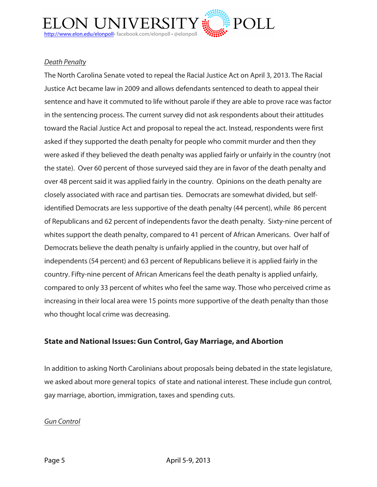

#### *Death Penalty*

The North Carolina Senate voted to repeal the Racial Justice Act on April 3, 2013. The Racial Justice Act became law in 2009 and allows defendants sentenced to death to appeal their sentence and have it commuted to life without parole if they are able to prove race was factor in the sentencing process. The current survey did not ask respondents about their attitudes toward the Racial Justice Act and proposal to repeal the act. Instead, respondents were first asked if they supported the death penalty for people who commit murder and then they were asked if they believed the death penalty was applied fairly or unfairly in the country (not the state). Over 60 percent of those surveyed said they are in favor of the death penalty and over 48 percent said it was applied fairly in the country. Opinions on the death penalty are closely associated with race and partisan ties. Democrats are somewhat divided, but selfidentified Democrats are less supportive of the death penalty (44 percent), while 86 percent of Republicans and 62 percent of independents favor the death penalty. Sixty-nine percent of whites support the death penalty, compared to 41 percent of African Americans. Over half of Democrats believe the death penalty is unfairly applied in the country, but over half of independents (54 percent) and 63 percent of Republicans believe it is applied fairly in the country. Fifty-nine percent of African Americans feel the death penalty is applied unfairly, compared to only 33 percent of whites who feel the same way. Those who perceived crime as increasing in their local area were 15 points more supportive of the death penalty than those who thought local crime was decreasing.

#### **State and National Issues: Gun Control, Gay Marriage, and Abortion**

In addition to asking North Carolinians about proposals being debated in the state legislature, we asked about more general topics of state and national interest. These include gun control, gay marriage, abortion, immigration, taxes and spending cuts.

#### *Gun Control*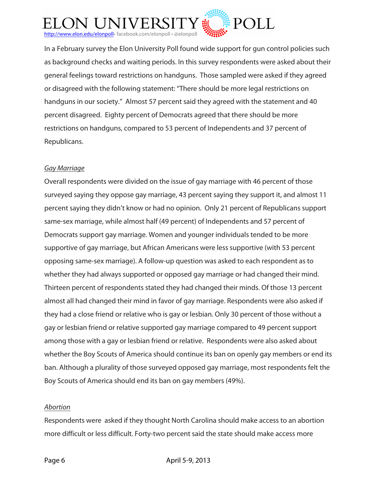

In a February survey the Elon University Poll found wide support for gun control policies such as background checks and waiting periods. In this survey respondents were asked about their general feelings toward restrictions on handguns. Those sampled were asked if they agreed or disagreed with the following statement: "There should be more legal restrictions on handguns in our society." Almost 57 percent said they agreed with the statement and 40 percent disagreed. Eighty percent of Democrats agreed that there should be more restrictions on handguns, compared to 53 percent of Independents and 37 percent of Republicans.

#### *Gay Marriage*

Overall respondents were divided on the issue of gay marriage with 46 percent of those surveyed saying they oppose gay marriage, 43 percent saying they support it, and almost 11 percent saying they didn't know or had no opinion. Only 21 percent of Republicans support same-sex marriage, while almost half (49 percent) of Independents and 57 percent of Democrats support gay marriage. Women and younger individuals tended to be more supportive of gay marriage, but African Americans were less supportive (with 53 percent opposing same-sex marriage). A follow-up question was asked to each respondent as to whether they had always supported or opposed gay marriage or had changed their mind. Thirteen percent of respondents stated they had changed their minds. Of those 13 percent almost all had changed their mind in favor of gay marriage. Respondents were also asked if they had a close friend or relative who is gay or lesbian. Only 30 percent of those without a gay or lesbian friend or relative supported gay marriage compared to 49 percent support among those with a gay or lesbian friend or relative. Respondents were also asked about whether the Boy Scouts of America should continue its ban on openly gay members or end its ban. Although a plurality of those surveyed opposed gay marriage, most respondents felt the Boy Scouts of America should end its ban on gay members (49%).

#### *Abortion*

Respondents were asked if they thought North Carolina should make access to an abortion more difficult or less difficult. Forty-two percent said the state should make access more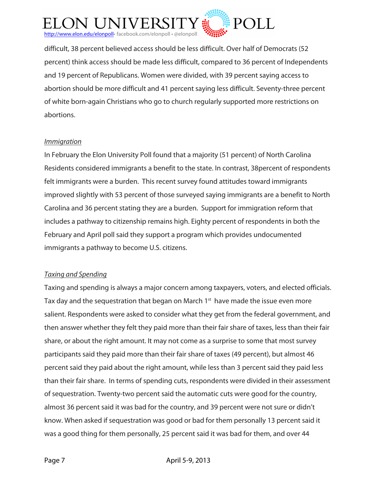

difficult, 38 percent believed access should be less difficult. Over half of Democrats (52 percent) think access should be made less difficult, compared to 36 percent of Independents and 19 percent of Republicans. Women were divided, with 39 percent saying access to abortion should be more difficult and 41 percent saying less difficult. Seventy-three percent of white born-again Christians who go to church regularly supported more restrictions on abortions.

#### *Immigration*

In February the Elon University Poll found that a majority (51 percent) of North Carolina Residents considered immigrants a benefit to the state. In contrast, 38percent of respondents felt immigrants were a burden. This recent survey found attitudes toward immigrants improved slightly with 53 percent of those surveyed saying immigrants are a benefit to North Carolina and 36 percent stating they are a burden. Support for immigration reform that includes a pathway to citizenship remains high. Eighty percent of respondents in both the February and April poll said they support a program which provides undocumented immigrants a pathway to become U.S. citizens.

#### *Taxing and Spending*

Taxing and spending is always a major concern among taxpayers, voters, and elected officials. Tax day and the sequestration that began on March  $1<sup>st</sup>$  have made the issue even more salient. Respondents were asked to consider what they get from the federal government, and then answer whether they felt they paid more than their fair share of taxes, less than their fair share, or about the right amount. It may not come as a surprise to some that most survey participants said they paid more than their fair share of taxes (49 percent), but almost 46 percent said they paid about the right amount, while less than 3 percent said they paid less than their fair share. In terms of spending cuts, respondents were divided in their assessment of sequestration. Twenty-two percent said the automatic cuts were good for the country, almost 36 percent said it was bad for the country, and 39 percent were not sure or didn't know. When asked if sequestration was good or bad for them personally 13 percent said it was a good thing for them personally, 25 percent said it was bad for them, and over 44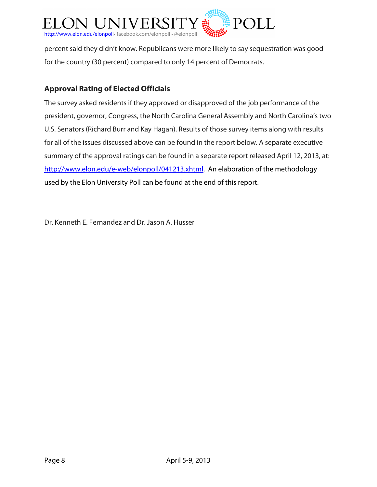

percent said they didn't know. Republicans were more likely to say sequestration was good for the country (30 percent) compared to only 14 percent of Democrats.

#### **Approval Rating of Elected Officials**

The survey asked residents if they approved or disapproved of the job performance of the president, governor, Congress, the North Carolina General Assembly and North Carolina's two U.S. Senators (Richard Burr and Kay Hagan). Results of those survey items along with results for all of the issues discussed above can be found in the report below. A separate executive summary of the approval ratings can be found in a separate report released April 12, 2013, at: http://www.elon.edu/e-web/elonpoll/041213.xhtml. An elaboration of the methodology used by the Elon University Poll can be found at the end of this report.

Dr. Kenneth E. Fernandez and Dr. Jason A. Husser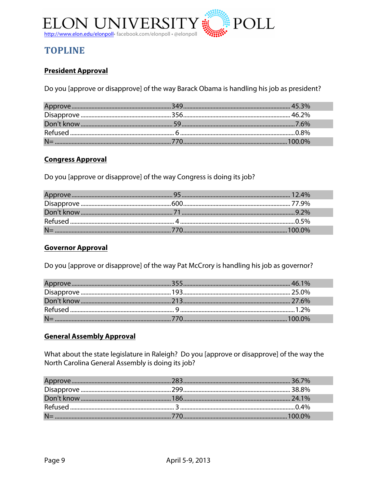

## **TOPLINE**

#### **President Approval**

Do you [approve or disapprove] of the way Barack Obama is handling his job as president?

#### **Congress Approval**

Do you [approve or disapprove] of the way Congress is doing its job?

#### **Governor Approval**

Do you [approve or disapprove] of the way Pat McCrory is handling his job as governor?

#### **General Assembly Approval**

What about the state legislature in Raleigh? Do you [approve or disapprove] of the way the North Carolina General Assembly is doing its job?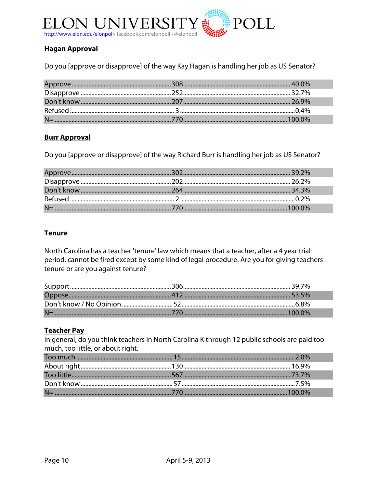

#### **Hagan Approval**

Do you [approve or disapprove] of the way Kay Hagan is handling her job as US Senator?

#### **Burr Approval**

Do you [approve or disapprove] of the way Richard Burr is handling her job as US Senator?

#### **Tenure**

North Carolina has a teacher 'tenure' law which means that a teacher, after a 4 year trial period, cannot be fired except by some kind of legal procedure. Are you for giving teachers tenure or are you against tenure?

| $N = 100000$ |  |
|--------------|--|

#### **Teacher Pay**

In general, do you think teachers in North Carolina K through 12 public schools are paid too much, too little, or about right.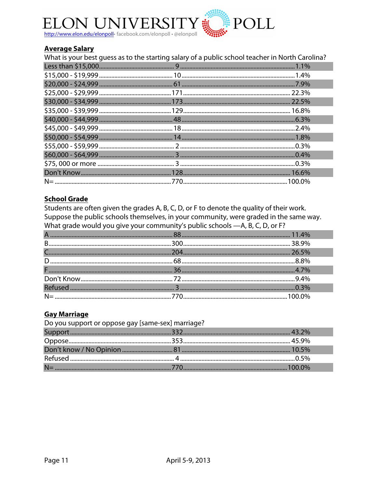

#### **Average Salary**

|  | What is your best guess as to the starting salary of a public school teacher in North Carolina? |
|--|-------------------------------------------------------------------------------------------------|
|  |                                                                                                 |
|  |                                                                                                 |
|  |                                                                                                 |
|  |                                                                                                 |
|  |                                                                                                 |
|  |                                                                                                 |
|  |                                                                                                 |
|  |                                                                                                 |
|  |                                                                                                 |
|  |                                                                                                 |
|  |                                                                                                 |
|  |                                                                                                 |
|  |                                                                                                 |
|  |                                                                                                 |

#### **School Grade**

Students are often given the grades A, B, C, D, or F to denote the quality of their work. Suppose the public schools themselves, in your community, were graded in the same way. What grade would you give your community's public schools - A, B, C, D, or F?

#### **Gay Marriage**

| Do you support or oppose gay [same-sex] marriage? |  |
|---------------------------------------------------|--|
|                                                   |  |
|                                                   |  |
|                                                   |  |
|                                                   |  |
|                                                   |  |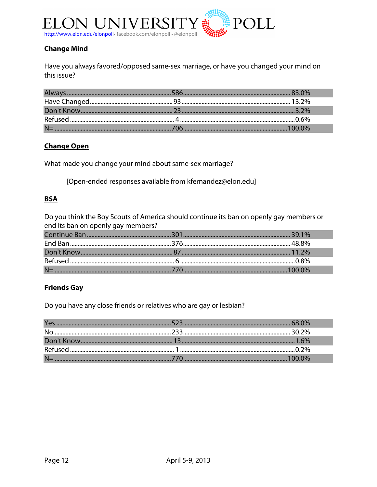

#### **Change Mind**

Have you always favored/opposed same-sex marriage, or have you changed your mind on this issue?

#### **Change Open**

What made you change your mind about same-sex marriage?

[Open-ended responses available from kfernandez@elon.edu]

#### **BSA**

Do you think the Boy Scouts of America should continue its ban on openly gay members or end its ban on openly gay members?

#### **Friends Gay**

Do you have any close friends or relatives who are gay or lesbian?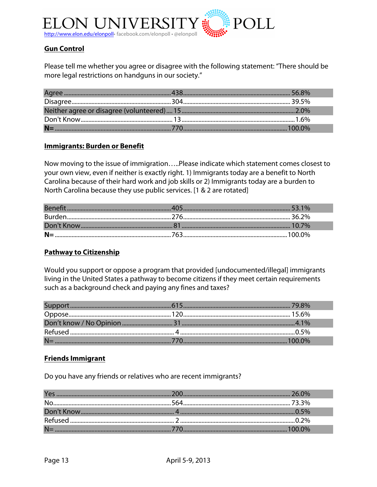

#### **Gun Control**

Please tell me whether you agree or disagree with the following statement: "There should be more legal restrictions on handguns in our society."

#### **Immigrants: Burden or Benefit**

Now moving to the issue of immigration.....Please indicate which statement comes closest to your own view, even if neither is exactly right. 1) Immigrants today are a benefit to North Carolina because of their hard work and job skills or 2) Immigrants today are a burden to North Carolina because they use public services. [1 & 2 are rotated]

#### **Pathway to Citizenship**

Would you support or oppose a program that provided [undocumented/illegal] immigrants living in the United States a pathway to become citizens if they meet certain requirements such as a background check and paying any fines and taxes?

#### **Friends Immigrant**

Do you have any friends or relatives who are recent immigrants?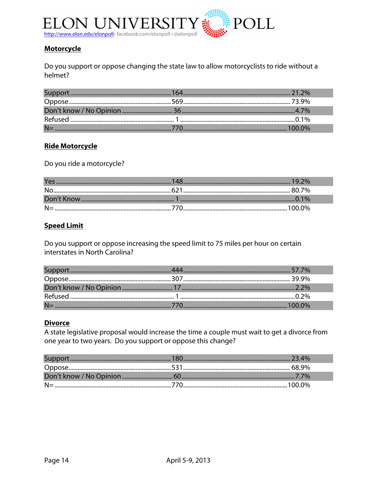

#### **Motorcycle**

Do you support or oppose changing the state law to allow motorcyclists to ride without a helmet?

#### **Ride Motorcycle**

Do you ride a motorcycle?

#### **Speed Limit**

Do you support or oppose increasing the speed limit to 75 miles per hour on certain interstates in North Carolina?

#### **Divorce**

A state legislative proposal would increase the time a couple must wait to get a divorce from one year to two years. Do you support or oppose this change?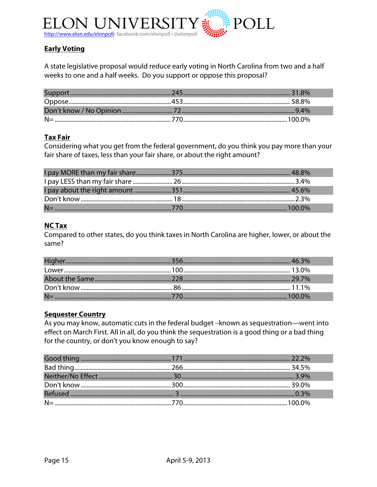

#### **Early Voting**

A state legislative proposal would reduce early voting in North Carolina from two and a half weeks to one and a half weeks. Do you support or oppose this proposal?

#### **Tax Fair**

Considering what you get from the federal government, do you think you pay more than your fair share of taxes, less than your fair share, or about the right amount?

#### **NC Tax**

Compared to other states, do you think taxes in North Carolina are higher, lower, or about the same?

#### **Sequester Country**

As you may know, automatic cuts in the federal budget -known as sequestration-went into effect on March First. All in all, do you think the sequestration is a good thing or a bad thing for the country, or don't you know enough to say?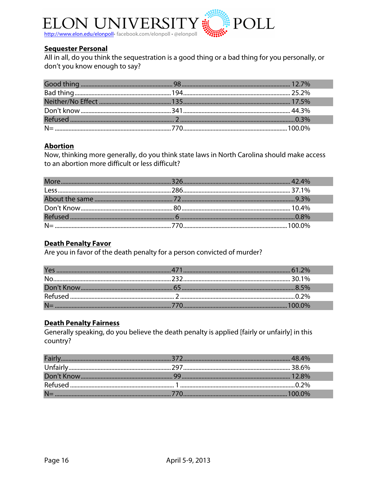

#### **Sequester Personal**

All in all, do you think the sequestration is a good thing or a bad thing for you personally, or don't you know enough to say?

#### **Abortion**

Now, thinking more generally, do you think state laws in North Carolina should make access to an abortion more difficult or less difficult?

#### **Death Penalty Favor**

Are you in favor of the death penalty for a person convicted of murder?

#### **Death Penalty Fairness**

Generally speaking, do you believe the death penalty is applied [fairly or unfairly] in this country?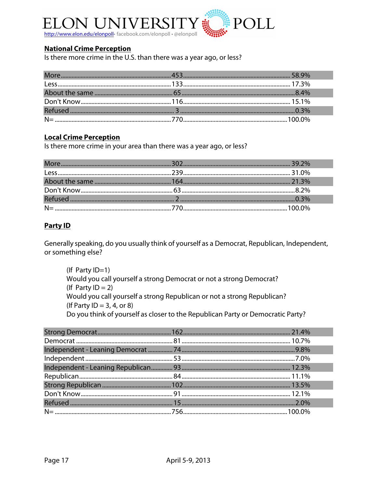

#### **National Crime Perception**

Is there more crime in the U.S. than there was a year ago, or less?

#### **Local Crime Perception**

Is there more crime in your area than there was a year ago, or less?

#### **Party ID**

Generally speaking, do you usually think of yourself as a Democrat, Republican, Independent, or something else?

(If Party  $ID=1$ ) Would you call yourself a strong Democrat or not a strong Democrat? (If Party  $ID = 2$ ) Would you call yourself a strong Republican or not a strong Republican? (If Party ID = 3, 4, or 8) Do you think of yourself as closer to the Republican Party or Democratic Party?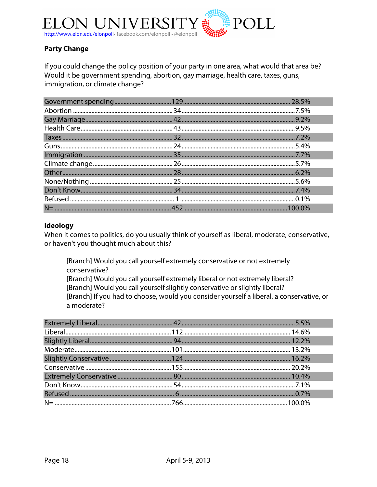

#### **Party Change**

If you could change the policy position of your party in one area, what would that area be? Would it be government spending, abortion, gay marriage, health care, taxes, guns, immigration, or climate change?

#### **Ideology**

When it comes to politics, do you usually think of yourself as liberal, moderate, conservative, or haven't you thought much about this?

[Branch] Would you call yourself extremely conservative or not extremely conservative? [Branch] Would you call yourself extremely liberal or not extremely liberal? [Branch] Would you call yourself slightly conservative or slightly liberal? [Branch] If you had to choose, would you consider yourself a liberal, a conservative, or a moderate?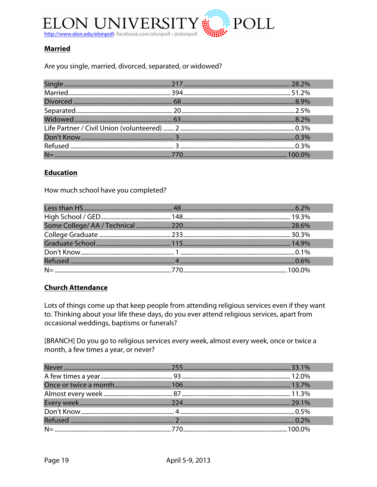

#### **Married**

Are you single, married, divorced, separated, or widowed?

#### **Education**

How much school have you completed?

#### **Church Attendance**

Lots of things come up that keep people from attending religious services even if they want to. Thinking about your life these days, do you ever attend religious services, apart from occasional weddings, baptisms or funerals?

[BRANCH] Do you go to religious services every week, almost every week, once or twice a month, a few times a year, or never?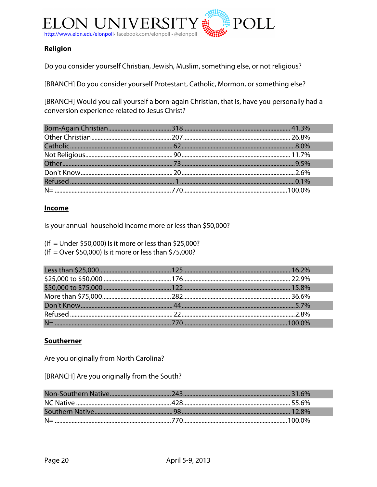

#### **Religion**

Do you consider yourself Christian, Jewish, Muslim, something else, or not religious?

[BRANCH] Do you consider yourself Protestant, Catholic, Mormon, or something else?

[BRANCH] Would you call yourself a born-again Christian, that is, have you personally had a conversion experience related to Jesus Christ?

#### **Income**

Is your annual household income more or less than \$50,000?

 $($ If = Under \$50,000) Is it more or less than \$25,000?

(If = Over \$50,000) Is it more or less than \$75,000?

#### Southerner

Are you originally from North Carolina?

[BRANCH] Are you originally from the South?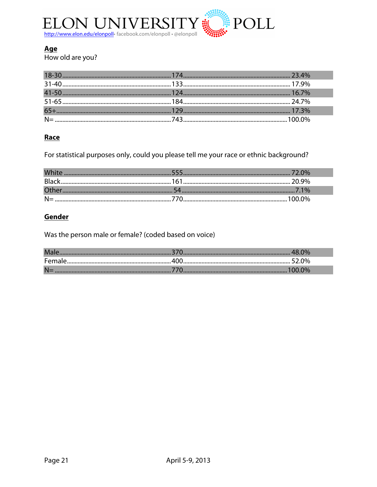

#### <u>Age</u>

How old are you?

#### Race

For statistical purposes only, could you please tell me your race or ethnic background?

|  | $.0\%$ |
|--|--------|
|  |        |
|  |        |
|  |        |

#### Gender

Was the person male or female? (coded based on voice)

| Male<br>1 37 |     |
|--------------|-----|
|              | .0% |
| $N =$        |     |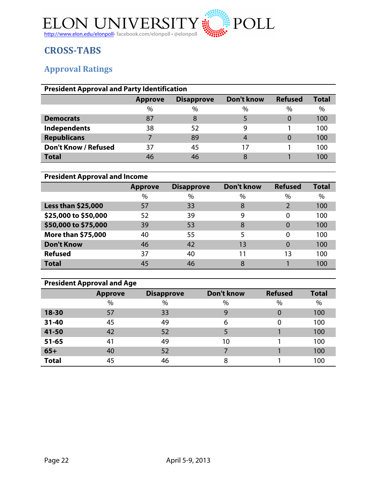

## **CROSS-TABS**

### **Approval Ratings**

| <b>President Approval and Party Identification</b> |                                                                                     |      |      |      |      |  |
|----------------------------------------------------|-------------------------------------------------------------------------------------|------|------|------|------|--|
|                                                    | Don't know<br><b>Refused</b><br><b>Total</b><br><b>Disapprove</b><br><b>Approve</b> |      |      |      |      |  |
|                                                    | $\%$                                                                                | $\%$ | $\%$ | $\%$ | $\%$ |  |
| <b>Democrats</b>                                   | 87                                                                                  | 8    |      | 0    | 100  |  |
| Independents                                       | 38                                                                                  | 52   | 9    |      | 100  |  |
| <b>Republicans</b>                                 |                                                                                     | 89   | 4    | 0    | 100  |  |
| <b>Don't Know / Refused</b>                        | 37                                                                                  | 45   | 17   |      | 100  |  |
| <b>Total</b>                                       | 46                                                                                  | 46   | 8    |      | 100  |  |

#### **President Approval and Income**

|                           | <b>Approve</b> | <b>Disapprove</b> | <b>Don't know</b> | <b>Refused</b> | <b>Total</b> |
|---------------------------|----------------|-------------------|-------------------|----------------|--------------|
|                           | %              | $\%$              | $\%$              | $\%$           | %            |
| <b>Less than \$25,000</b> | 57             | 33                | 8                 | 2              | 100          |
| \$25,000 to \$50,000      | 52             | 39                | 9                 | 0              | 100          |
| \$50,000 to \$75,000      | 39             | 53                | 8                 | 0              | 100          |
| More than \$75,000        | 40             | 55                | 5                 | 0              | 100          |
| <b>Don't Know</b>         | 46             | 42                | 13                | 0              | 100          |
| <b>Refused</b>            | 37             | 40                | 11                | 13             | 100          |
| <b>Total</b>              | 45             | 46                | 8                 |                | 100          |

#### **President Approval and Age Approve Disapprove Don't know Refused Total** % % % % % % % % **18-30** 57 33 9 0 100 **31-40** 45 49 6 0 100 **41-50** 42 52 5 5 1 100 **51-65** 41 49 10 1 100 **65+** 40 40 52 7 1 100 **Total** 45 46 8 1 100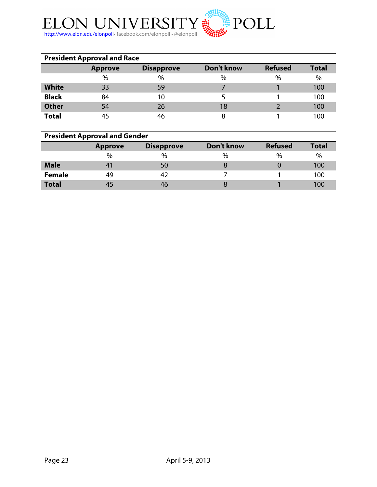

|              | <b>President Approval and Race</b> |                   |            |                |              |
|--------------|------------------------------------|-------------------|------------|----------------|--------------|
|              | <b>Approve</b>                     | <b>Disapprove</b> | Don't know | <b>Refused</b> | <b>Total</b> |
|              | $\%$                               | %                 | $\%$       | %              | %            |
| <b>White</b> | 33                                 | 59                |            |                | 100          |
| <b>Black</b> | 84                                 | 10                |            |                | 100          |
| <b>Other</b> | 54                                 | 26                | 18         |                | 100          |
| <b>Total</b> | 45                                 | 46                | 8          |                | 100          |

#### **President Approval and Gender**

|               | <b>Approve</b> | <b>Disapprove</b> | Don't know | <b>Refused</b> | <b>Total</b> |
|---------------|----------------|-------------------|------------|----------------|--------------|
|               | $\%$           | %                 | $\%$       | %              | %            |
| <b>Male</b>   |                | 50                |            |                | 100          |
| <b>Female</b> | 49             | 42                |            |                | 100          |
| <b>Total</b>  | 45             | 46                |            |                | 100          |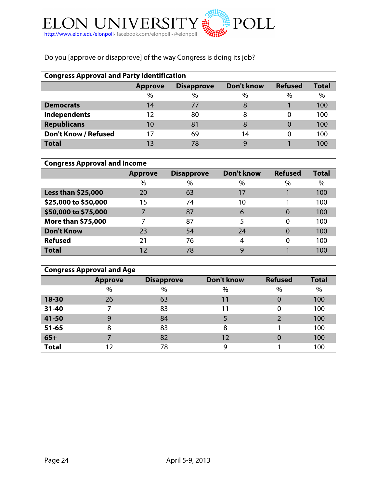

#### Do you [approve or disapprove] of the way Congress is doing its job?

| <b>Congress Approval and Party Identification</b> |                |                   |            |                |              |  |  |  |  |
|---------------------------------------------------|----------------|-------------------|------------|----------------|--------------|--|--|--|--|
|                                                   | <b>Approve</b> | <b>Disapprove</b> | Don't know | <b>Refused</b> | <b>Total</b> |  |  |  |  |
|                                                   | $\%$           | $\%$              | $\%$       | $\frac{0}{0}$  | $\%$         |  |  |  |  |
| <b>Democrats</b>                                  | 14             | 77                |            |                | 100          |  |  |  |  |
| Independents                                      | 12             | 80                | 8          |                | 100          |  |  |  |  |
| <b>Republicans</b>                                | 10             | 81                |            |                | 100          |  |  |  |  |
| <b>Don't Know / Refused</b>                       | 17             | 69                | 14         | 0              | 100          |  |  |  |  |
| <b>Total</b>                                      | 13             | 78                | 9          |                | 100          |  |  |  |  |

#### **Congress Approval and Income**

|                           | <b>Approve</b> | <b>Disapprove</b> | <b>Don't know</b> | <b>Refused</b> | <b>Total</b> |
|---------------------------|----------------|-------------------|-------------------|----------------|--------------|
|                           | $\%$           | $\%$              | $\%$              | $\%$           | $\%$         |
| <b>Less than \$25,000</b> | 20             | 63                | 17                |                | 100          |
| \$25,000 to \$50,000      | 15             | 74                | 10                |                | 100          |
| \$50,000 to \$75,000      |                | 87                | 6                 | $\Omega$       | 100          |
| <b>More than \$75,000</b> |                | 87                | 5                 | 0              | 100          |
| <b>Don't Know</b>         | 23             | 54                | 24                | 0              | 100          |
| <b>Refused</b>            | 21             | 76                | 4                 | 0              | 100          |
| <b>Total</b>              | 12             | 78                | 9                 |                | 100          |

#### **Congress Approval and Age Approve Disapprove Don't know Refused Total** % % % % % % % % **18-30** 26 63 11 0 100 **31-40** 7 83 11 0 100 **41-50** 9 84 5 2 100 **51-65** 8 83 8 8 8 1 100 **65+** 7 82 12 0 100 **Total** 12 78 9 1 100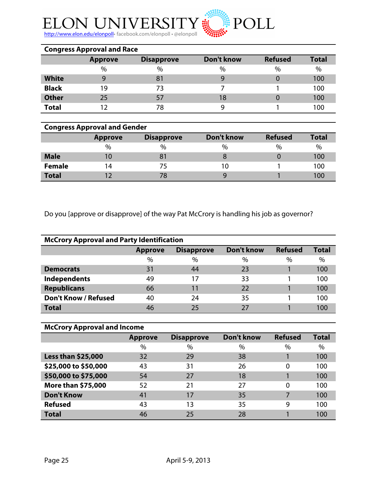

ELON UNIVERSIT http://www.elon.edu/elonpoll• facebook.com/elonpoll • @elonpoll

| <b>Congress Approval and Race</b> |                |                   |            |                |              |  |  |  |  |
|-----------------------------------|----------------|-------------------|------------|----------------|--------------|--|--|--|--|
|                                   | <b>Approve</b> | <b>Disapprove</b> | Don't know | <b>Refused</b> | <b>Total</b> |  |  |  |  |
|                                   | $\%$           | $\%$              | $\%$       | $\%$           | $\%$         |  |  |  |  |
| <b>White</b>                      | q              | 81                | 9          |                | 100          |  |  |  |  |
| <b>Black</b>                      | 19             | 73                |            |                | 100          |  |  |  |  |
| <b>Other</b>                      | 25             | 57                | 18         |                | 100          |  |  |  |  |
| <b>Total</b>                      | 12             | 78                | 9          |                | 100          |  |  |  |  |

#### **Congress Approval and Gender**

| . .           | . .            |                   |            |                |              |
|---------------|----------------|-------------------|------------|----------------|--------------|
|               | <b>Approve</b> | <b>Disapprove</b> | Don't know | <b>Refused</b> | <b>Total</b> |
|               | $\%$           | $\%$              | %          | %              | %            |
| <b>Male</b>   |                |                   |            |                | 100          |
| <b>Female</b> | 14             |                   | 10         |                | 100          |
| <b>Total</b>  |                | 78                |            |                | 100          |

Do you [approve or disapprove] of the way Pat McCrory is handling his job as governor?

| <b>McCrory Approval and Party Identification</b> |                |                   |            |                |              |  |  |  |  |
|--------------------------------------------------|----------------|-------------------|------------|----------------|--------------|--|--|--|--|
|                                                  | <b>Approve</b> | <b>Disapprove</b> | Don't know | <b>Refused</b> | <b>Total</b> |  |  |  |  |
|                                                  | $\%$           | $\%$              | $\%$       | $\%$           | $\%$         |  |  |  |  |
| <b>Democrats</b>                                 | 31             | 44                | 23         |                | 100          |  |  |  |  |
| Independents                                     | 49             | 17                | 33         |                | 100          |  |  |  |  |
| <b>Republicans</b>                               | 66             | 11                | 22         |                | 100          |  |  |  |  |
| <b>Don't Know / Refused</b>                      | 40             | 24                | 35         |                | 100          |  |  |  |  |
| <b>Total</b>                                     | 46             | 25                | 27         |                | 100          |  |  |  |  |

#### **McCrory Approval and Income**

|                           | <b>Approve</b> | <b>Disapprove</b> | <b>Don't know</b> | <b>Refused</b> | <b>Total</b> |
|---------------------------|----------------|-------------------|-------------------|----------------|--------------|
|                           | $\%$           | $\%$              | $\%$              | $\%$           | $\%$         |
| <b>Less than \$25,000</b> | 32             | 29                | 38                |                | 100          |
| \$25,000 to \$50,000      | 43             | 31                | 26                | 0              | 100          |
| \$50,000 to \$75,000      | 54             | 27                | 18                |                | 100          |
| More than \$75,000        | 52             | 21                | 27                | 0              | 100          |
| <b>Don't Know</b>         | 41             | 17                | 35                |                | 100          |
| <b>Refused</b>            | 43             | 13                | 35                | 9              | 100          |
| <b>Total</b>              | 46             | 25                | 28                |                | 100          |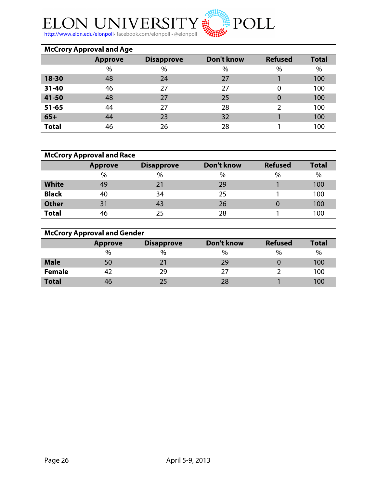



|              | <b>McCrory Approval and Age</b> |                   |            |                |              |
|--------------|---------------------------------|-------------------|------------|----------------|--------------|
|              | <b>Approve</b>                  | <b>Disapprove</b> | Don't know | <b>Refused</b> | <b>Total</b> |
|              | $\%$                            | $\%$              | $\%$       | $\%$           | %            |
| 18-30        | 48                              | 24                | 27         |                | 100          |
| $31 - 40$    | 46                              | 27                | 27         | $\Omega$       | 100          |
| 41-50        | 48                              | 27                | 25         | $\overline{0}$ | 100          |
| $51 - 65$    | 44                              | 27                | 28         | າ              | 100          |
| $65+$        | 44                              | 23                | 32         |                | 100          |
| <b>Total</b> | 46                              | 26                | 28         |                | 100          |

| <b>McCrory Approval and Race</b> |                |                   |            |                |              |  |  |  |  |
|----------------------------------|----------------|-------------------|------------|----------------|--------------|--|--|--|--|
|                                  | <b>Approve</b> | <b>Disapprove</b> | Don't know | <b>Refused</b> | <b>Total</b> |  |  |  |  |
|                                  | $\%$           | $\%$              | %          | $\%$           | $\%$         |  |  |  |  |
| <b>White</b>                     | 49             | 21                | 29         |                | 100          |  |  |  |  |
| <b>Black</b>                     | 40             | 34                | 25         |                | 100          |  |  |  |  |
| <b>Other</b>                     | 31             | 43                | 26         |                | 100          |  |  |  |  |
| <b>Total</b>                     | 46             | 25                | 28         |                | 100          |  |  |  |  |

| <b>McCrory Approval and Gender</b> |                |                   |            |                |              |  |  |  |  |
|------------------------------------|----------------|-------------------|------------|----------------|--------------|--|--|--|--|
|                                    | <b>Approve</b> | <b>Disapprove</b> | Don't know | <b>Refused</b> | <b>Total</b> |  |  |  |  |
|                                    | $\%$           | $\%$              | $\%$       | $\%$           | $\%$         |  |  |  |  |
| <b>Male</b>                        | 50             | 21                | 29         |                | 100          |  |  |  |  |
| <b>Female</b>                      | 42             | 29                | 27         |                | 100          |  |  |  |  |
| <b>Total</b>                       | 46             | 25                | 28         |                | 100          |  |  |  |  |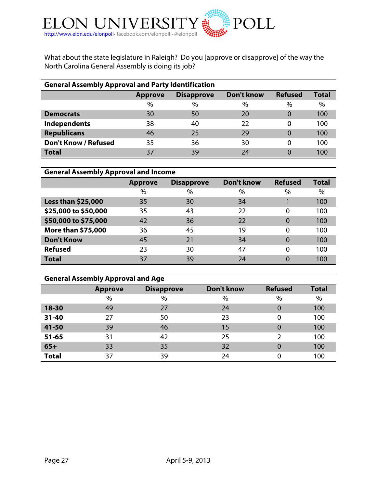

What about the state legislature in Raleigh? Do you [approve or disapprove] of the way the North Carolina General Assembly is doing its job?

| <b>General Assembly Approval and Party Identification</b> |                |                   |                   |                |              |  |  |  |  |
|-----------------------------------------------------------|----------------|-------------------|-------------------|----------------|--------------|--|--|--|--|
|                                                           | <b>Approve</b> | <b>Disapprove</b> | <b>Don't know</b> | <b>Refused</b> | <b>Total</b> |  |  |  |  |
|                                                           | $\%$           | $\%$              | $\%$              | $\%$           | $\%$         |  |  |  |  |
| <b>Democrats</b>                                          | 30             | 50                | 20                | O              | 100          |  |  |  |  |
| Independents                                              | 38             | 40                | 22                | 0              | 100          |  |  |  |  |
| <b>Republicans</b>                                        | 46             | 25                | 29                | 0              | 100          |  |  |  |  |
| <b>Don't Know / Refused</b>                               | 35             | 36                | 30                | 0              | 100          |  |  |  |  |
| <b>Total</b>                                              | 37             | 39                | 24                |                | 100          |  |  |  |  |

#### **General Assembly Approval and Income**

|                           | <b>Approve</b> | <b>Disapprove</b> | <b>Don't know</b> | <b>Refused</b> | <b>Total</b> |
|---------------------------|----------------|-------------------|-------------------|----------------|--------------|
|                           | $\%$           | $\%$              | $\%$              | $\%$           | $\%$         |
| <b>Less than \$25,000</b> | 35             | 30                | 34                |                | 100          |
| \$25,000 to \$50,000      | 35             | 43                | 22                | 0              | 100          |
| \$50,000 to \$75,000      | 42             | 36                | 22                | $\overline{0}$ | 100          |
| More than \$75,000        | 36             | 45                | 19                | 0              | 100          |
| <b>Don't Know</b>         | 45             | 21                | 34                | $\overline{0}$ | 100          |
| <b>Refused</b>            | 23             | 30                | 47                | 0              | 100          |
| <b>Total</b>              | 37             | 39                | 24                | 0              | 100          |

| <b>General Assembly Approval and Age</b> |                |                   |                   |                |              |  |  |
|------------------------------------------|----------------|-------------------|-------------------|----------------|--------------|--|--|
|                                          | <b>Approve</b> | <b>Disapprove</b> | <b>Don't know</b> | <b>Refused</b> | <b>Total</b> |  |  |
|                                          | $\%$           | %                 | $\%$              | $\%$           | %            |  |  |
| 18-30                                    | 49             | 27                | 24                | $\overline{0}$ | 100          |  |  |
| $31 - 40$                                | 27             | 50                | 23                | 0              | 100          |  |  |
| 41-50                                    | 39             | 46                | 15                | $\overline{0}$ | 100          |  |  |
| $51 - 65$                                | 31             | 42                | 25                |                | 100          |  |  |
| $65+$                                    | 33             | 35                | 32                | $\overline{0}$ | 100          |  |  |
| <b>Total</b>                             | 37             | 39                | 24                | 0              | 100          |  |  |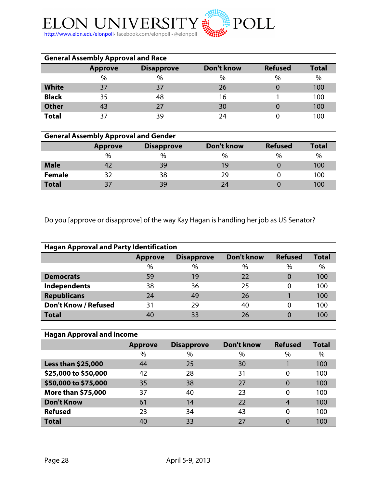

| <b>General Assembly Approval and Race</b> |                |                   |            |                |              |  |  |  |
|-------------------------------------------|----------------|-------------------|------------|----------------|--------------|--|--|--|
|                                           | <b>Approve</b> | <b>Disapprove</b> | Don't know | <b>Refused</b> | <b>Total</b> |  |  |  |
|                                           | $\%$           | $\%$              | %          | $\%$           | $\%$         |  |  |  |
| <b>White</b>                              | 37             | 37                | 26         | $\Omega$       | 100          |  |  |  |
| <b>Black</b>                              | 35             | 48                | 16         |                | 100          |  |  |  |
| <b>Other</b>                              | 43             | 27                | 30         |                | 100          |  |  |  |
| <b>Total</b>                              | 37             | 39                | 24         |                | 100          |  |  |  |

#### **General Assembly Approval and Gender**

|               | <b>Approve</b> | <b>Disapprove</b> | Don't know | <b>Refused</b> | <b>Total</b> |
|---------------|----------------|-------------------|------------|----------------|--------------|
|               | $\%$           | %                 | %          | %              | %            |
| <b>Male</b>   | 42             | 39                | 19         |                | 100          |
| <b>Female</b> | 32             | 38                | 29         |                | 100          |
| <b>Total</b>  | 37             | 39                | 24         |                | 100          |

Do you [approve or disapprove] of the way Kay Hagan is handling her job as US Senator?

| <b>Hagan Approval and Party Identification</b> |                |                   |            |                |              |  |  |  |
|------------------------------------------------|----------------|-------------------|------------|----------------|--------------|--|--|--|
|                                                | <b>Approve</b> | <b>Disapprove</b> | Don't know | <b>Refused</b> | <b>Total</b> |  |  |  |
|                                                | $\%$           | $\%$              | $\%$       | $\%$           | $\%$         |  |  |  |
| <b>Democrats</b>                               | 59             | 19                | 22         | 0              | 100          |  |  |  |
| Independents                                   | 38             | 36                | 25         | 0              | 100          |  |  |  |
| <b>Republicans</b>                             | 24             | 49                | 26         |                | 100          |  |  |  |
| <b>Don't Know / Refused</b>                    | 31             | 29                | 40         | 0              | 100          |  |  |  |
| <b>Total</b>                                   | 40             | 33                | 26         |                | 100          |  |  |  |

| <b>Hagan Approval and Income</b> |                |                   |                   |                |              |  |  |  |
|----------------------------------|----------------|-------------------|-------------------|----------------|--------------|--|--|--|
|                                  | <b>Approve</b> | <b>Disapprove</b> | <b>Don't know</b> | <b>Refused</b> | <b>Total</b> |  |  |  |
|                                  | $\%$           | $\%$              | $\%$              | $\%$           | $\%$         |  |  |  |
| <b>Less than \$25,000</b>        | 44             | 25                | 30                |                | 100          |  |  |  |
| \$25,000 to \$50,000             | 42             | 28                | 31                | 0              | 100          |  |  |  |
| \$50,000 to \$75,000             | 35             | 38                | 27                | 0              | 100          |  |  |  |
| <b>More than \$75,000</b>        | 37             | 40                | 23                | $\Omega$       | 100          |  |  |  |
| <b>Don't Know</b>                | 61             | 14                | 22                | 4              | 100          |  |  |  |
| <b>Refused</b>                   | 23             | 34                | 43                | 0              | 100          |  |  |  |
| <b>Total</b>                     | 40             | 33                | 27                | 0              | 100          |  |  |  |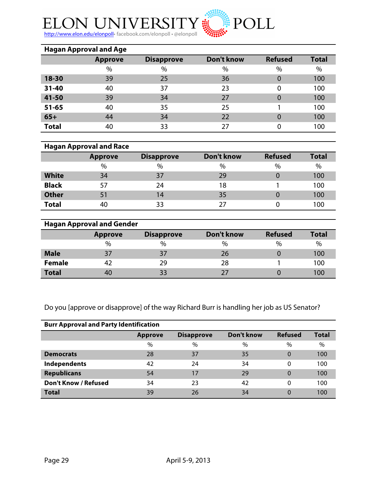

|              | <b>Hagan Approval and Age</b> |                   |            |                |              |
|--------------|-------------------------------|-------------------|------------|----------------|--------------|
|              | <b>Approve</b>                | <b>Disapprove</b> | Don't know | <b>Refused</b> | <b>Total</b> |
|              | $\%$                          | %                 | $\%$       | $\%$           | $\%$         |
| 18-30        | 39                            | 25                | 36         | 0              | 100          |
| $31 - 40$    | 40                            | 37                | 23         | 0              | 100          |
| 41-50        | 39                            | 34                | 27         | 0              | 100          |
| $51 - 65$    | 40                            | 35                | 25         |                | 100          |
| $65+$        | 44                            | 34                | 22         | 0              | 100          |
| <b>Total</b> | 40                            | 33                | 27         | 0              | 100          |

POLL

#### **Hagan Approval and Race**

|              | <b>Approve</b> | <b>Disapprove</b> | Don't know | <b>Refused</b> | <b>Total</b> |
|--------------|----------------|-------------------|------------|----------------|--------------|
|              | $\%$           | $\%$              | $\%$       | $\%$           | %            |
| <b>White</b> | 34             | 37                | 29         |                | 100          |
| <b>Black</b> | 57             | 24                | 18         |                | 100          |
| <b>Other</b> | 51             | 14                | 35         |                | 100          |
| <b>Total</b> | 40             | 33                | 27         |                | 100          |

| <b>Hagan Approval and Gender</b> |                |                   |            |                |              |  |  |  |
|----------------------------------|----------------|-------------------|------------|----------------|--------------|--|--|--|
|                                  | <b>Approve</b> | <b>Disapprove</b> | Don't know | <b>Refused</b> | <b>Total</b> |  |  |  |
|                                  | $\%$           | $\%$              | $\%$       | $\%$           | $\%$         |  |  |  |
| <b>Male</b>                      | 37             | 37                | 26         |                | 100          |  |  |  |
| <b>Female</b>                    | 42             | 29                | 28         |                | 100          |  |  |  |
| <b>Total</b>                     | 40             | 33                | 27         |                | 100          |  |  |  |

Do you [approve or disapprove] of the way Richard Burr is handling her job as US Senator?

| <b>Burr Approval and Party Identification</b> |                |                   |            |                |              |  |  |  |
|-----------------------------------------------|----------------|-------------------|------------|----------------|--------------|--|--|--|
|                                               | <b>Approve</b> | <b>Disapprove</b> | Don't know | <b>Refused</b> | <b>Total</b> |  |  |  |
|                                               | $\frac{0}{0}$  | $\%$              | $\%$       | $\frac{0}{0}$  | $\%$         |  |  |  |
| <b>Democrats</b>                              | 28             | 37                | 35         | 0              | 100          |  |  |  |
| Independents                                  | 42             | 24                | 34         | 0              | 100          |  |  |  |
| <b>Republicans</b>                            | 54             | 17                | 29         | 0              | 100          |  |  |  |
| <b>Don't Know / Refused</b>                   | 34             | 23                | 42         | 0              | 100          |  |  |  |
| <b>Total</b>                                  | 39             | 26                | 34         | 0              | 100          |  |  |  |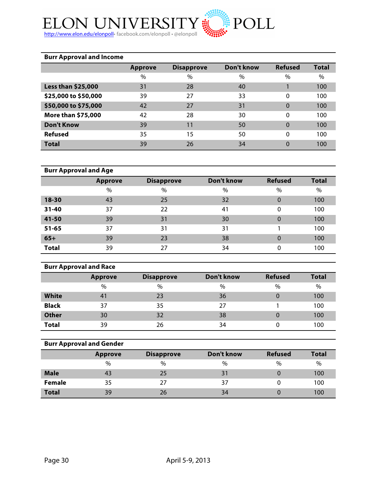

| <b>Burr Approval and Income</b> |                |                   |            |                |              |
|---------------------------------|----------------|-------------------|------------|----------------|--------------|
|                                 | <b>Approve</b> | <b>Disapprove</b> | Don't know | <b>Refused</b> | <b>Total</b> |
|                                 | $\%$           | $\%$              | %          | $\%$           | $\%$         |
| <b>Less than \$25,000</b>       | 31             | 28                | 40         |                | 100          |
| \$25,000 to \$50,000            | 39             | 27                | 33         | 0              | 100          |
| \$50,000 to \$75,000            | 42             | 27                | 31         | $\overline{0}$ | 100          |
| More than \$75,000              | 42             | 28                | 30         | 0              | 100          |
| <b>Don't Know</b>               | 39             | 11                | 50         | $\overline{0}$ | 100          |
| <b>Refused</b>                  | 35             | 15                | 50         | 0              | 100          |
| <b>Total</b>                    | 39             | 26                | 34         | 0              | 100          |

| <b>Burr Approval and Age</b> |                |                   |            |                |              |
|------------------------------|----------------|-------------------|------------|----------------|--------------|
|                              | <b>Approve</b> | <b>Disapprove</b> | Don't know | <b>Refused</b> | <b>Total</b> |
|                              | $\%$           | $\%$              | %          | %              | $\%$         |
| 18-30                        | 43             | 25                | 32         | 0              | 100          |
| $31 - 40$                    | 37             | 22                | 41         | 0              | 100          |
| 41-50                        | 39             | 31                | 30         | 0              | 100          |
| $51 - 65$                    | 37             | 31                | 31         |                | 100          |
| $65+$                        | 39             | 23                | 38         | $\Omega$       | 100          |
| <b>Total</b>                 | 39             | 27                | 34         | 0              | 100          |

#### **Burr Approval and Race**

|              | <b>Approve</b> | <b>Disapprove</b> | Don't know | <b>Refused</b> | <b>Total</b> |
|--------------|----------------|-------------------|------------|----------------|--------------|
|              | %              | $\%$              | %          | $\frac{0}{0}$  | %            |
| <b>White</b> |                | 23                | 36         | 0              | 100          |
| <b>Black</b> | 37             | 35                | 27         |                | 100          |
| <b>Other</b> | 30             | 32                | 38         | 0              | 100          |
| <b>Total</b> | 39             | 26                | 34         |                | 100          |

|               | <b>Burr Approval and Gender</b> |                   |            |                |              |
|---------------|---------------------------------|-------------------|------------|----------------|--------------|
|               | <b>Approve</b>                  | <b>Disapprove</b> | Don't know | <b>Refused</b> | <b>Total</b> |
|               | $\%$                            | $\%$              | $\%$       | $\%$           | %            |
| <b>Male</b>   | 43                              | 25                | 31         |                | 100          |
| <b>Female</b> | 35                              | 27                | 37         |                | 100          |
| <b>Total</b>  | 39                              | 26                | 34         |                | 100          |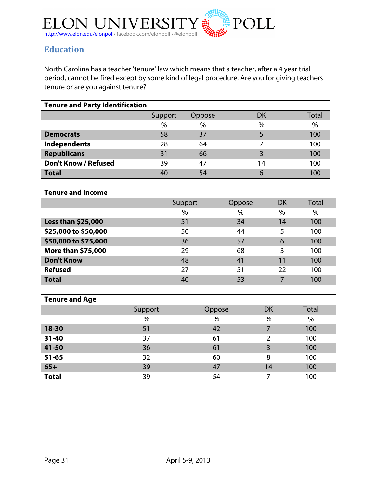

#### **Education**

North Carolina has a teacher 'tenure' law which means that a teacher, after a 4 year trial period, cannot be fired except by some kind of legal procedure. Are you for giving teachers tenure or are you against tenure?

| <b>Tenure and Party Identification</b> |         |        |    |       |
|----------------------------------------|---------|--------|----|-------|
|                                        | Support | Oppose | DK | Total |
|                                        | $\%$    | $\%$   | %  | $\%$  |
| <b>Democrats</b>                       | 58      | 37     | 5  | 100   |
| Independents                           | 28      | 64     |    | 100   |
| <b>Republicans</b>                     | 31      | 66     | 3  | 100   |
| <b>Don't Know / Refused</b>            | 39      | 47     | 14 | 100   |
| <b>Total</b>                           | 40      | 54     | 6  | 100   |

| <b>Tenure and Income</b> |  |  |
|--------------------------|--|--|
|--------------------------|--|--|

|                           | Support | Oppose | DK | Total |
|---------------------------|---------|--------|----|-------|
|                           | $\%$    | $\%$   | %  | %     |
| <b>Less than \$25,000</b> | 51      | 34     | 14 | 100   |
| \$25,000 to \$50,000      | 50      | 44     | 5  | 100   |
| \$50,000 to \$75,000      | 36      | 57     | 6  | 100   |
| <b>More than \$75,000</b> | 29      | 68     | 3  | 100   |
| <b>Don't Know</b>         | 48      | 41     | 11 | 100   |
| <b>Refused</b>            | 27      | 51     | 22 | 100   |
| <b>Total</b>              | 40      | 53     | 7  | 100   |

| <b>Tenure and Age</b> |  |  |
|-----------------------|--|--|
|-----------------------|--|--|

|              | Support | Oppose | DK | Total |
|--------------|---------|--------|----|-------|
|              | $\%$    | $\%$   | %  | $\%$  |
| 18-30        | 51      | 42     |    | 100   |
| 31-40        | 37      | 61     | C  | 100   |
| 41-50        | 36      | 61     | 3  | 100   |
| $51 - 65$    | 32      | 60     | 8  | 100   |
| $65+$        | 39      | 47     | 14 | 100   |
| <b>Total</b> | 39      | 54     |    | 100   |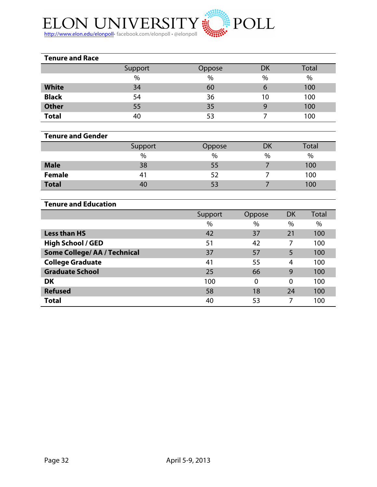

| <b>Tenure and Race</b> |         |        |      |       |
|------------------------|---------|--------|------|-------|
|                        | Support | Oppose | DK   | Total |
|                        | %       | %      | $\%$ | $\%$  |
| <b>White</b>           | 34      | 60     | 6    | 100   |
| <b>Black</b>           | 54      | 36     | 10   | 100   |
| <b>Other</b>           | 55      | 35     | 9    | 100   |
| <b>Total</b>           | 40      | 53     |      | 100   |

#### **Tenure and Gender**

|               | Support | Oppose | DK | Total |
|---------------|---------|--------|----|-------|
|               | %       | $\%$   | %  | %     |
| <b>Male</b>   | 38      | 55     |    | 100   |
| <b>Female</b> | 4 I     | 52     |    | 100   |
| <b>Total</b>  | 40      | 53     |    | 100   |

#### **Tenure and Education**

|                                     | Support | Oppose | <b>DK</b> | <b>Total</b> |
|-------------------------------------|---------|--------|-----------|--------------|
|                                     | %       | %      | %         | %            |
| <b>Less than HS</b>                 | 42      | 37     | 21        | 100          |
| <b>High School / GED</b>            | 51      | 42     |           | 100          |
| <b>Some College/ AA / Technical</b> | 37      | 57     | 5         | 100          |
| <b>College Graduate</b>             | 41      | 55     | 4         | 100          |
| <b>Graduate School</b>              | 25      | 66     | 9         | 100          |
| <b>DK</b>                           | 100     | 0      | $\Omega$  | 100          |
| <b>Refused</b>                      | 58      | 18     | 24        | 100          |
| <b>Total</b>                        | 40      | 53     |           | 100          |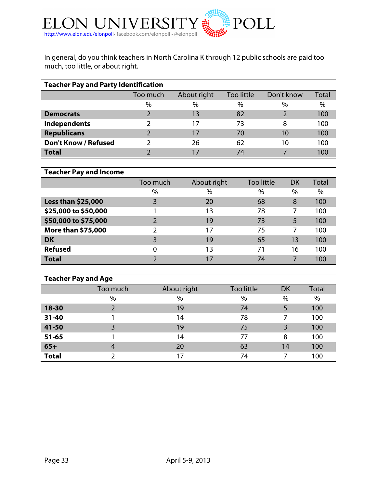

In general, do you think teachers in North Carolina K through 12 public schools are paid too much, too little, or about right.

| <b>Teacher Pay and Party Identification</b> |          |             |                   |            |              |  |  |
|---------------------------------------------|----------|-------------|-------------------|------------|--------------|--|--|
|                                             | Too much | About right | <b>Too little</b> | Don't know | <b>Total</b> |  |  |
|                                             | $\%$     | $\%$        | $\%$              | $\%$       | $\%$         |  |  |
| <b>Democrats</b>                            |          | 13          | 82                |            | 100          |  |  |
| Independents                                |          | 17          | 73                | 8          | 100          |  |  |
| <b>Republicans</b>                          |          | 17          | 70                | 10         | 100          |  |  |
| <b>Don't Know / Refused</b>                 |          | 26          | 62                | 10         | 100          |  |  |
| <b>Total</b>                                |          | 17          | 74                |            | 100          |  |  |

#### **Teacher Pay and Income** Too much About right Too little DK Total % % % % % **Less than \$25,000** 3 20 68 8 100 **\$25,000 to \$50,000** 1 13 78 7 100 **\$50,000 to \$75,000** 2 19 73 5 100 **More than \$75,000** 2 17 75 7 100 **DK** 3 19 65 13 100 **Refused** 0 13 71 16 100 **Total** 2 17 74 7 100

| <b>Teacher Pay and Age</b> |                |             |                   |           |              |  |  |
|----------------------------|----------------|-------------|-------------------|-----------|--------------|--|--|
|                            | Too much       | About right | <b>Too little</b> | <b>DK</b> | <b>Total</b> |  |  |
|                            | %              | %           | %                 | %         | $\%$         |  |  |
| 18-30                      |                | 19          | 74                | 5         | 100          |  |  |
| 31-40                      |                | 14          | 78                |           | 100          |  |  |
| 41-50                      |                | 19          | 75                | 3         | 100          |  |  |
| $51 - 65$                  |                | 14          | 77                | 8         | 100          |  |  |
| $65+$                      | $\overline{4}$ | 20          | 63                | 14        | 100          |  |  |
| <b>Total</b>               | 2              | 17          | 74                |           | 100          |  |  |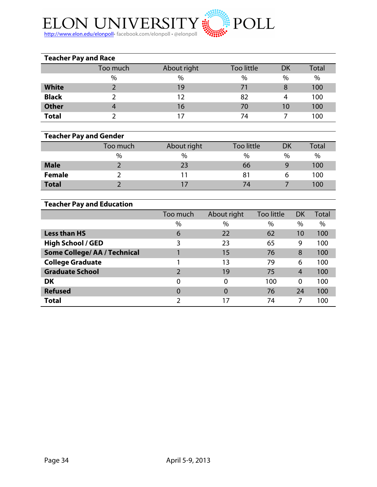

| <b>Teacher Pay and Race</b> |          |             |            |      |       |  |  |
|-----------------------------|----------|-------------|------------|------|-------|--|--|
|                             | Too much | About right | Too little | DK   | Total |  |  |
|                             | $\%$     | %           | $\%$       | $\%$ | %     |  |  |
| <b>White</b>                |          | 19          | 71         | 8    | 100   |  |  |
| <b>Black</b>                |          | 12          | 82         | 4    | 100   |  |  |
| <b>Other</b>                | 4        | 16          | 70         | 10   | 100   |  |  |
| <b>Total</b>                |          |             | 74         |      | 100   |  |  |

#### **Teacher Pay and Gender**

|               | Too much | About right | <b>Too little</b> | <b>DK</b> | <b>Total</b> |
|---------------|----------|-------------|-------------------|-----------|--------------|
|               | $\%$     | %           | $\%$              | %         | %            |
| <b>Male</b>   |          | 23          | 66                |           | 100          |
| <b>Female</b> |          |             | 81                |           | 100          |
| <b>Total</b>  |          |             | 74                |           | 100          |

#### **Teacher Pay and Education**

|                                     | Too much       | About right | <b>Too little</b> | DK   | Total |
|-------------------------------------|----------------|-------------|-------------------|------|-------|
|                                     | $\%$           | %           | $\%$              | $\%$ | $\%$  |
| <b>Less than HS</b>                 | 6              | 22          | 62                | 10   | 100   |
| <b>High School / GED</b>            | 3              | 23          | 65                | 9    | 100   |
| <b>Some College/ AA / Technical</b> |                | 15          | 76                | 8    | 100   |
| <b>College Graduate</b>             |                | 13          | 79                | 6    | 100   |
| <b>Graduate School</b>              | $\overline{2}$ | 19          | 75                | 4    | 100   |
| <b>DK</b>                           | 0              | 0           | 100               | 0    | 100   |
| <b>Refused</b>                      | 0              | 0           | 76                | 24   | 100   |
| <b>Total</b>                        |                | 17          | 74                |      | 100   |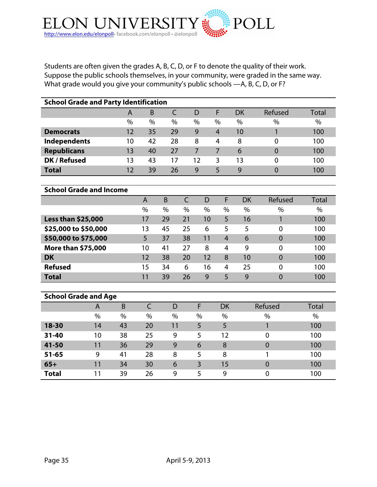

Students are often given the grades A, B, C, D, or F to denote the quality of their work. Suppose the public schools themselves, in your community, were graded in the same way. What grade would you give your community's public schools —A, B, C, D, or F?

| <b>School Grade and Party Identification</b> |      |                |               |                |                |                |                  |                |              |  |  |
|----------------------------------------------|------|----------------|---------------|----------------|----------------|----------------|------------------|----------------|--------------|--|--|
|                                              | A    | B              | $\mathsf{C}$  |                | D              | F              | <b>DK</b>        | Refused        | <b>Total</b> |  |  |
|                                              | $\%$ | $\%$           | $\%$          |                | $\%$           | $\%$           | $\%$             | $\%$           | $\%$         |  |  |
| <b>Democrats</b>                             | 12   | 35             | 29            |                | 9              | $\overline{4}$ | 10               | $\mathbf{1}$   | 100          |  |  |
| <b>Independents</b>                          | 10   | 42             | 28            |                | 8              | $\overline{4}$ | 8                | $\overline{0}$ | 100          |  |  |
| <b>Republicans</b>                           | 13   | 40             | 27            |                | $\overline{7}$ | $\overline{7}$ | 6                | $\overline{0}$ | 100          |  |  |
| <b>DK / Refused</b>                          | 13   | 43             | 17            |                | 12             | 3              | 13               | $\overline{0}$ | 100          |  |  |
| <b>Total</b>                                 | 12   | 39             | 26            |                | 9              | 5              | 9                | $\overline{0}$ | 100          |  |  |
|                                              |      |                |               |                |                |                |                  |                |              |  |  |
| <b>School Grade and Income</b>               |      |                |               |                |                |                |                  |                |              |  |  |
|                                              |      | $\overline{A}$ | B             | $\overline{C}$ | D              | F              | <b>DK</b>        | Refused        | <b>Total</b> |  |  |
|                                              |      | %              | $\%$          | %              | %              | %              | $\%$             | %              | $\%$         |  |  |
| <b>Less than \$25,000</b>                    |      | 17             | 29            | 21             | 10             | 5              | 16               | $\mathbf{1}$   | 100          |  |  |
| \$25,000 to \$50,000                         |      | 13             | 45            | 25             | 6              | 5              | 5<br>$\mathbf 0$ |                | 100          |  |  |
| \$50,000 to \$75,000                         |      | 5              | 37            | 38             | 11             | $\overline{4}$ | 6                | $\mathbf 0$    | 100          |  |  |
| More than \$75,000                           |      | 10             | 41            | 27             | 8              | 4              | 9                | $\mathbf 0$    | 100          |  |  |
| <b>DK</b>                                    |      | 12             | 38            | 20             | 12             | 8              | 10               | $\mathbf 0$    | 100          |  |  |
| <b>Refused</b>                               |      | 15             | 34            | 6              | 16             | 4              | 25               | $\overline{0}$ | 100          |  |  |
| <b>Total</b>                                 |      | 11             | 39            | 26             | 9              | 5              | 9                | $\mathbf 0$    | 100          |  |  |
|                                              |      |                |               |                |                |                |                  |                |              |  |  |
| <b>School Grade and Age</b>                  |      |                |               |                |                |                |                  |                |              |  |  |
| A                                            | B    | $\overline{C}$ | D             |                | F              | <b>DK</b>      |                  | Refused        | <b>Total</b> |  |  |
| $\frac{0}{0}$                                | $\%$ | $\frac{0}{0}$  | $\frac{0}{0}$ |                | $\%$           | $\%$           |                  | $\%$           | $\%$         |  |  |
| 18-30<br>14                                  | 43   | 20             | 11            |                | 5              | 5              |                  | 1              | 100          |  |  |
| 31-40<br>10                                  | 38   | 25             | 9             |                | 5              | 12             |                  | $\overline{0}$ | 100          |  |  |
| 41-50<br>11                                  | 36   | 29             | 9             |                | 6              | $\bf 8$        |                  | $\mathbf 0$    | 100          |  |  |
| $51 - 65$<br>9                               | 41   | 28             | 8             |                | 5              | 8              |                  | 1              | 100          |  |  |
| $65+$<br>11                                  | 34   | 30             | 6             |                | 3              | 15             |                  | $\mathbf 0$    | 100          |  |  |
| <b>Total</b><br>11                           | 39   | 26             | 9             |                | 5              | 9              |                  | $\mathbf 0$    | 100          |  |  |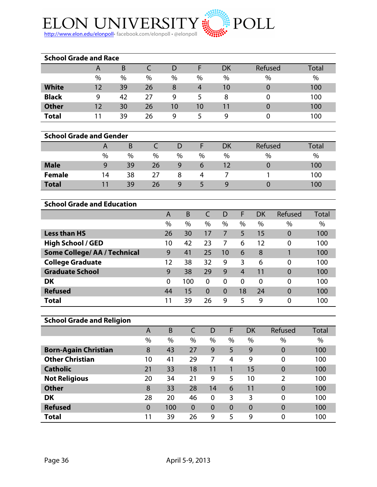# ELON UNIVERSITY

| <b>School Grade and Race</b> |                                |      |      |    |    |    |         |       |  |  |  |
|------------------------------|--------------------------------|------|------|----|----|----|---------|-------|--|--|--|
|                              | A                              | B    |      | D  | F  | DK | Refused | Total |  |  |  |
|                              | $\%$                           | $\%$ | $\%$ | %  | %  | %  | $\%$    | $\%$  |  |  |  |
| <b>White</b>                 | 12                             | 39   | 26   | 8  | 4  | 10 | 0       | 100   |  |  |  |
| <b>Black</b>                 | 9                              | 42   | 27   | 9  | 5  | 8  | 0       | 100   |  |  |  |
| <b>Other</b>                 | 12                             | 30   | 26   | 10 | 10 | 11 | 0       | 100   |  |  |  |
| <b>Total</b>                 | 11                             | 39   | 26   | 9  | 5  | 9  | 0       | 100   |  |  |  |
|                              |                                |      |      |    |    |    |         |       |  |  |  |
|                              | <b>School Grade and Gender</b> |      |      |    |    |    |         |       |  |  |  |
|                              | A                              | B    |      | D  |    |    | Refused | Total |  |  |  |

POLL

|               | $\mathsf{H}$ | D    |    | ◡ |      | DΝ   | neiuseu | TUtdi |
|---------------|--------------|------|----|---|------|------|---------|-------|
|               | %            | $\%$ | %  | % | $\%$ | $\%$ | %       | %     |
| <b>Male</b>   | Q            | 39   | 26 | q | O    |      |         | 100   |
| <b>Female</b> | 14           | 38   |    |   |      |      |         | 00    |
| <b>Total</b>  |              | 39   | 26 | q |      | Q    |         | 100   |

#### **School Grade and Education**

|                                     | A  | Β   |          | D        | F              | DK       | Refused  | Total |
|-------------------------------------|----|-----|----------|----------|----------------|----------|----------|-------|
|                                     | %  | %   | $\%$     | $\%$     | $\%$           | $\%$     | $\%$     | $\%$  |
| <b>Less than HS</b>                 | 26 | 30  | 17       | 7        | 5              | 15       | $\Omega$ | 100   |
| <b>High School / GED</b>            | 10 | 42  | 23       | 7        | 6              | 12       | 0        | 100   |
| <b>Some College/ AA / Technical</b> | 9  | 41  | 25       | 10       | 6              | 8        |          | 100   |
| <b>College Graduate</b>             | 12 | 38  | 32       | 9        | 3              | 6        | 0        | 100   |
| <b>Graduate School</b>              | 9  | 38  | 29       | 9        | $\overline{4}$ | 11       | $\Omega$ | 100   |
| <b>DK</b>                           | 0  | 100 | 0        | $\Omega$ | $\Omega$       | $\Omega$ | 0        | 100   |
| <b>Refused</b>                      | 44 | 15  | $\Omega$ | $\Omega$ | 18             | 24       | $\Omega$ | 100   |
| Total                               | 11 | 39  | 26       | 9        | 5              | 9        | 0        | 100   |

#### **School Grade and Religion**

|                             | A        | B    |    |    | F        | DK             | Refused  | Total |
|-----------------------------|----------|------|----|----|----------|----------------|----------|-------|
|                             | $\%$     | $\%$ | %  | %  | %        | $\%$           | $\%$     | $\%$  |
| <b>Born-Again Christian</b> | 8        | 43   | 27 | 9  | 5        | 9              | 0        | 100   |
| <b>Other Christian</b>      | 10       | 41   | 29 | 7  | 4        | 9              | 0        | 100   |
| <b>Catholic</b>             | 21       | 33   | 18 | 11 |          | 15             | $\Omega$ | 100   |
| <b>Not Religious</b>        | 20       | 34   | 21 | 9  | 5        | 10             | C        | 100   |
| <b>Other</b>                | 8        | 33   | 28 | 14 | 6        | 11             | 0        | 100   |
| <b>DK</b>                   | 28       | 20   | 46 | 0  | 3        | 3              | $\Omega$ | 100   |
| <b>Refused</b>              | $\Omega$ | 100  | 0  | 0  | $\Omega$ | $\overline{0}$ | 0        | 100   |
| <b>Total</b>                | 11       | 39   | 26 | 9  | 5        | 9              | 0        | 100   |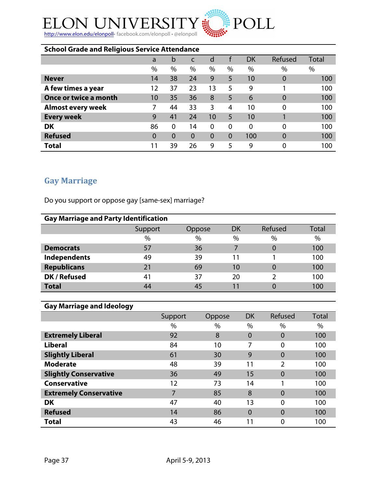# **JIVER** ELON U

http://www.elon.edu/elonpoll· facebook.com/elonpoll · @elonpoll



| <b>School Grade and Religious Service Attendance</b> |                |          |                |                |          |      |          |       |  |
|------------------------------------------------------|----------------|----------|----------------|----------------|----------|------|----------|-------|--|
|                                                      | a              | b        | $\mathsf{C}$   | d              |          | DK   | Refused  | Total |  |
|                                                      | $\%$           | $\%$     | %              | $\%$           | $\%$     | $\%$ | $\%$     | $\%$  |  |
| <b>Never</b>                                         | 14             | 38       | 24             | 9              | 5        | 10   | 0        | 100   |  |
| A few times a year                                   | 12             | 37       | 23             | 13             | 5        | 9    |          | 100   |  |
| Once or twice a month                                | 10             | 35       | 36             | 8              | 5        | 6    | 0        | 100   |  |
| <b>Almost every week</b>                             | 7              | 44       | 33             | 3              | 4        | 10   | $\Omega$ | 100   |  |
| <b>Every week</b>                                    | 9              | 41       | 24             | 10             | 5        | 10   |          | 100   |  |
| <b>DK</b>                                            | 86             | 0        | 14             | 0              | $\Omega$ | 0    | $\Omega$ | 100   |  |
| <b>Refused</b>                                       | $\overline{0}$ | $\Omega$ | $\overline{0}$ | $\overline{0}$ | $\Omega$ | 100  | 0        | 100   |  |
| <b>Total</b>                                         | 11             | 39       | 26             | 9              | 5        | 9    | 0        | 100   |  |

# **Gay(Marriage**

Do you support or oppose gay [same-sex] marriage?

| <b>Gay Marriage and Party Identification</b> |         |        |    |          |       |  |  |  |  |
|----------------------------------------------|---------|--------|----|----------|-------|--|--|--|--|
|                                              | Support | Oppose | DK | Refused  | Total |  |  |  |  |
|                                              | $\%$    | $\%$   | %  | $\%$     | %     |  |  |  |  |
| <b>Democrats</b>                             | 57      | 36     |    |          | 100   |  |  |  |  |
| Independents                                 | 49      | 39     | 11 |          | 100   |  |  |  |  |
| <b>Republicans</b>                           | 21      | 69     | 10 | $\Omega$ | 100   |  |  |  |  |
| DK / Refused                                 | 41      | 37     | 20 |          | 100   |  |  |  |  |
| <b>Total</b>                                 | 44      | 45     |    |          | 100   |  |  |  |  |

# **Gay Marriage and Ideology**

|                               | Support | Oppose | <b>DK</b>      | Refused        | Total |
|-------------------------------|---------|--------|----------------|----------------|-------|
|                               | $\%$    | $\%$   | $\frac{0}{0}$  | $\%$           | $\%$  |
| <b>Extremely Liberal</b>      | 92      | 8      | $\overline{0}$ | $\Omega$       | 100   |
| <b>Liberal</b>                | 84      | 10     | 7              | $\Omega$       | 100   |
| <b>Slightly Liberal</b>       | 61      | 30     | 9              | $\Omega$       | 100   |
| <b>Moderate</b>               | 48      | 39     | 11             | $\overline{2}$ | 100   |
| <b>Slightly Conservative</b>  | 36      | 49     | 15             | $\Omega$       | 100   |
| <b>Conservative</b>           | 12      | 73     | 14             |                | 100   |
| <b>Extremely Conservative</b> | 7       | 85     | 8              | $\Omega$       | 100   |
| <b>DK</b>                     | 47      | 40     | 13             | $\Omega$       | 100   |
| <b>Refused</b>                | 14      | 86     | $\overline{0}$ | $\Omega$       | 100   |
| <b>Total</b>                  | 43      | 46     | 11             | $\Omega$       | 100   |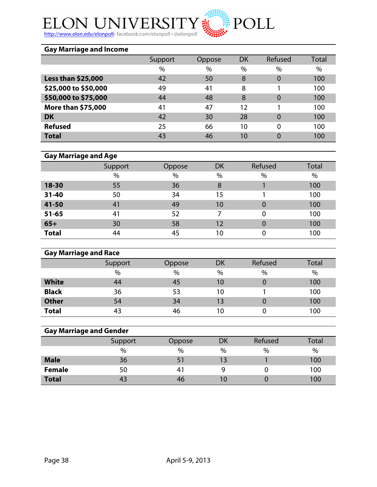# ELON UNIVERSITY



# **Gay Marriage and Income**

|                           | Support | Oppose | DK   | Refused        | Total |
|---------------------------|---------|--------|------|----------------|-------|
|                           | $\%$    | $\%$   | $\%$ | $\%$           | %     |
| <b>Less than \$25,000</b> | 42      | 50     | 8    | $\overline{0}$ | 100   |
| \$25,000 to \$50,000      | 49      | 41     | 8    |                | 100   |
| \$50,000 to \$75,000      | 44      | 48     | 8    | $\overline{0}$ | 100   |
| <b>More than \$75,000</b> | 41      | 47     | 12   |                | 100   |
| <b>DK</b>                 | 42      | 30     | 28   | $\overline{0}$ | 100   |
| <b>Refused</b>            | 25      | 66     | 10   | $\Omega$       | 100   |
| <b>Total</b>              | 43      | 46     | 10   | $\Omega$       | 100   |

#### **Gay Marriage and Age**

|              | Support | Oppose | DK | Refused | Total |
|--------------|---------|--------|----|---------|-------|
|              | $\%$    | $\%$   | %  | %       | $\%$  |
| 18-30        | 55      | 36     | 8  |         | 100   |
| 31-40        | 50      | 34     | 15 |         | 100   |
| 41-50        | 41      | 49     | 10 | 0       | 100   |
| $51 - 65$    | 41      | 52     |    | 0       | 100   |
| $65+$        | 30      | 58     | 12 | 0       | 100   |
| <b>Total</b> | 44      | 45     | 10 | 0       | 100   |

# **Gay Marriage and Race**

|              | Support | Oppose | DK | Refused | Total |
|--------------|---------|--------|----|---------|-------|
|              | %       | %      | %  | %       | %     |
| <b>White</b> | 44      | 45     | 10 | U       | 100   |
| <b>Black</b> | 36      | 53     | 10 |         | 100   |
| <b>Other</b> | 54      | 34     | 13 |         | 100   |
| <b>Total</b> | 43      | 46     | 10 |         | 100   |

| <b>Gay Marriage and Gender</b> |         |        |           |         |              |  |  |  |  |
|--------------------------------|---------|--------|-----------|---------|--------------|--|--|--|--|
|                                | Support | Oppose | <b>DK</b> | Refused | <b>Total</b> |  |  |  |  |
|                                | $\%$    | $\%$   | %         | $\%$    | %            |  |  |  |  |
| <b>Male</b>                    | 36      | 51     | 13        |         | 100          |  |  |  |  |
| <b>Female</b>                  | 50      | 4      | q         |         | 100          |  |  |  |  |
| <b>Total</b>                   | 43      | 46     | KO        |         | 100          |  |  |  |  |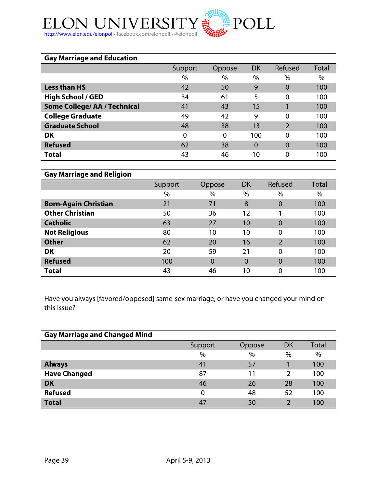

| <b>Gay Marriage and Education</b>   |         |             |           |             |              |
|-------------------------------------|---------|-------------|-----------|-------------|--------------|
|                                     | Support | Oppose      | <b>DK</b> | Refused     | <b>Total</b> |
|                                     | $\%$    | $\%$        | $\%$      | %           | $\%$         |
| <b>Less than HS</b>                 | 42      | 50          | 9         | $\mathbf 0$ | 100          |
| <b>High School / GED</b>            | 34      | 61          | 5         | 0           | 100          |
| <b>Some College/ AA / Technical</b> | 41      | 43          | 15        |             | 100          |
| <b>College Graduate</b>             | 49      | 42          | 9         | $\Omega$    | 100          |
| <b>Graduate School</b>              | 48      | 38          | 13        | 2           | 100          |
| <b>DK</b>                           | 0       | $\mathbf 0$ | 100       | $\mathbf 0$ | 100          |
| <b>Refused</b>                      | 62      | 38          | $\Omega$  | $\Omega$    | 100          |
| <b>Total</b>                        | 43      | 46          | 10        | 0           | 100          |

#### **Gay Marriage and Religion**

| -<br>. .                    | Support | Oppose   | <b>DK</b> | Refused        | Total |
|-----------------------------|---------|----------|-----------|----------------|-------|
|                             |         |          |           |                |       |
|                             | $\%$    | $\%$     | $\%$      | %              | %     |
| <b>Born-Again Christian</b> | 21      | 71       | 8         | $\overline{0}$ | 100   |
| <b>Other Christian</b>      | 50      | 36       | 12        |                | 100   |
| <b>Catholic</b>             | 63      | 27       | 10        | $\mathbf 0$    | 100   |
| <b>Not Religious</b>        | 80      | 10       | 10        | $\mathbf 0$    | 100   |
| <b>Other</b>                | 62      | 20       | 16        | $\overline{2}$ | 100   |
| <b>DK</b>                   | 20      | 59       | 21        | 0              | 100   |
| <b>Refused</b>              | 100     | $\Omega$ | $\Omega$  | 0              | 100   |
| <b>Total</b>                | 43      | 46       | 10        | 0              | 100   |

Have you always [favored/opposed] same-sex marriage, or have you changed your mind on this issue?

| <b>Gay Marriage and Changed Mind</b> |         |        |      |       |
|--------------------------------------|---------|--------|------|-------|
|                                      | Support | Oppose | DK   | Total |
|                                      | $\%$    | $\%$   | $\%$ | $\%$  |
| <b>Always</b>                        | 41      | 57     |      | 100   |
| <b>Have Changed</b>                  | 87      | 11     | 2    | 100   |
| <b>DK</b>                            | 46      | 26     | 28   | 100   |
| <b>Refused</b>                       | 0       | 48     | 52   | 100   |
| <b>Total</b>                         | 47      | 50     | フ    | 100   |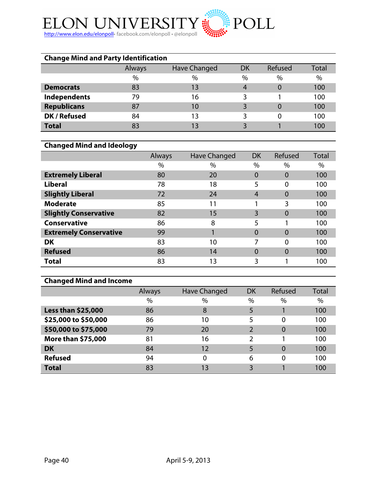

#### **Change Mind and Party Identification**

|                    | Always | <b>Have Changed</b> | DK   | Refused | Total |
|--------------------|--------|---------------------|------|---------|-------|
|                    | %      | $\%$                | $\%$ | $\%$    | $\%$  |
| <b>Democrats</b>   | 83     | 13                  |      | 0       | 100   |
| Independents       | 79     | 16                  | っ    |         | 100   |
| <b>Republicans</b> | 87     | 10                  |      | 0       | 100   |
| DK / Refused       | 84     | 13                  |      | 0       | 100   |
| <b>Total</b>       | 83     | 13                  |      |         | 100   |

#### **Changed Mind and Ideology**

|                               | <b>Always</b> | Have Changed | <b>DK</b> | Refused        | <b>Total</b> |
|-------------------------------|---------------|--------------|-----------|----------------|--------------|
|                               | $\%$          | $\%$         | $\%$      | $\%$           | $\%$         |
| <b>Extremely Liberal</b>      | 80            | 20           | 0         | $\overline{0}$ | 100          |
| <b>Liberal</b>                | 78            | 18           | 5         | 0              | 100          |
| <b>Slightly Liberal</b>       | 72            | 24           | 4         | 0              | 100          |
| <b>Moderate</b>               | 85            | 11           |           | 3              | 100          |
| <b>Slightly Conservative</b>  | 82            | 15           | 3         | $\Omega$       | 100          |
| <b>Conservative</b>           | 86            | 8            | 5         | 1              | 100          |
| <b>Extremely Conservative</b> | 99            |              | 0         | $\Omega$       | 100          |
| <b>DK</b>                     | 83            | 10           | 7         | 0              | 100          |
| <b>Refused</b>                | 86            | 14           | 0         | $\Omega$       | 100          |
| <b>Total</b>                  | 83            | 13           | 3         |                | 100          |

# **Changed Mind and Income** Always Have Changed DK Refused Total % % % % % **Less than \$25,000** 86 8 8 8 5 1 100 **\$25,000 to \$50,000** 86 10 5 0 100 **\$50,000 to \$75,000** 79 20 2 20 2 100 **More than \$75,000** 81 16 2 1 100 **DK** 84 34 12 5 0 100 **Refused** 5 94 0 6 0 100 **Total** 83 13 3 1 100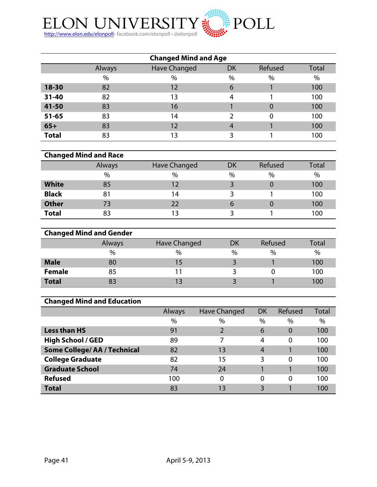

| <b>Changed Mind and Age</b> |        |                     |    |         |              |  |  |  |  |
|-----------------------------|--------|---------------------|----|---------|--------------|--|--|--|--|
|                             | Always | <b>Have Changed</b> | DK | Refused | <b>Total</b> |  |  |  |  |
|                             | $\%$   | $\%$                | %  | %       | $\%$         |  |  |  |  |
| 18-30                       | 82     | 12                  | 6  |         | 100          |  |  |  |  |
| $31 - 40$                   | 82     | 13                  | 4  |         | 100          |  |  |  |  |
| 41-50                       | 83     | 16                  |    |         | 100          |  |  |  |  |
| $51 - 65$                   | 83     | 14                  | 2  | 0       | 100          |  |  |  |  |
| $65+$                       | 83     | 12                  | 4  |         | 100          |  |  |  |  |
| <b>Total</b>                | 83     | 13                  | 3  |         | 100          |  |  |  |  |

#### **Changed Mind and Race**

| . .          |        |                     |    |         |       |
|--------------|--------|---------------------|----|---------|-------|
|              | Always | <b>Have Changed</b> | DK | Refused | Total |
|              | %      | $\%$                | %  | %       | $\%$  |
| <b>White</b> | 85     |                     |    | U       | 100   |
| <b>Black</b> | 81     | 14                  |    |         | 100   |
| <b>Other</b> | 73     | 22                  | 6  | U       | 100   |
| <b>Total</b> | 83     |                     |    |         | 100   |
|              |        |                     |    |         |       |

|               | <b>Changed Mind and Gender</b> |              |      |         |       |
|---------------|--------------------------------|--------------|------|---------|-------|
|               | Always                         | Have Changed | DK   | Refused | Total |
|               | $\%$                           | $\%$         | $\%$ | $\%$    | %     |
| <b>Male</b>   | 80                             |              |      |         | 100   |
| <b>Female</b> | 85                             |              |      |         | 100   |
| <b>Total</b>  | 83                             |              |      |         | 100   |

# **Changed Mind and Education**

|                                     | Always | Have Changed | <b>DK</b>      | Refused  | <b>Total</b> |
|-------------------------------------|--------|--------------|----------------|----------|--------------|
|                                     | $\%$   | $\%$         | %              | $\%$     | %            |
| <b>Less than HS</b>                 | 91     |              | 6              | $\Omega$ | 100          |
| <b>High School / GED</b>            | 89     |              | 4              | 0        | 100          |
| <b>Some College/ AA / Technical</b> | 82     | 13           | $\overline{4}$ |          | 100          |
| <b>College Graduate</b>             | 82     | 15           | 3              | 0        | 100          |
| <b>Graduate School</b>              | 74     | 24           |                |          | 100          |
| <b>Refused</b>                      | 100    | 0            | $\Omega$       | 0        | 100          |
| <b>Total</b>                        | 83     | 13           | 3              |          | 100          |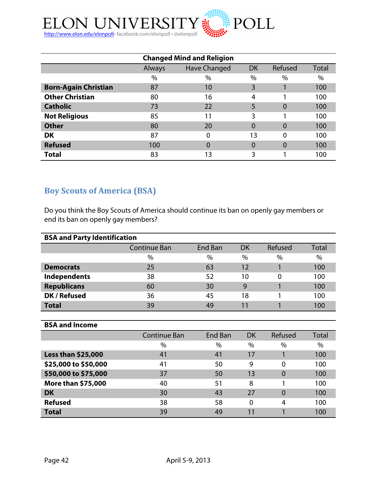

| <b>Changed Mind and Religion</b> |                                                                |      |          |          |      |  |  |  |  |
|----------------------------------|----------------------------------------------------------------|------|----------|----------|------|--|--|--|--|
|                                  | <b>Have Changed</b><br>Refused<br><b>DK</b><br>Total<br>Always |      |          |          |      |  |  |  |  |
|                                  | %                                                              | $\%$ | $\%$     | $\%$     | $\%$ |  |  |  |  |
| <b>Born-Again Christian</b>      | 87                                                             | 10   | 3        |          | 100  |  |  |  |  |
| <b>Other Christian</b>           | 80                                                             | 16   | 4        |          | 100  |  |  |  |  |
| <b>Catholic</b>                  | 73                                                             | 22   | 5        | $\Omega$ | 100  |  |  |  |  |
| <b>Not Religious</b>             | 85                                                             | 11   | 3        |          | 100  |  |  |  |  |
| <b>Other</b>                     | 80                                                             | 20   | $\Omega$ | $\Omega$ | 100  |  |  |  |  |
| <b>DK</b>                        | 87                                                             | 0    | 13       | $\Omega$ | 100  |  |  |  |  |
| <b>Refused</b>                   | 100                                                            | 0    | 0        | $\Omega$ | 100  |  |  |  |  |
| <b>Total</b>                     | 83                                                             | 13   | 3        |          | 100  |  |  |  |  |

# **Boy Scouts of America (BSA)**

Do you think the Boy Scouts of America should continue its ban on openly gay members or end its ban on openly gay members?

| <b>BSA and Party Identification</b> |                     |         |           |         |       |  |  |  |  |
|-------------------------------------|---------------------|---------|-----------|---------|-------|--|--|--|--|
|                                     | <b>Continue Ban</b> | End Ban | <b>DK</b> | Refused | Total |  |  |  |  |
|                                     | $\%$                | $\%$    | $\%$      | $\%$    | %     |  |  |  |  |
| <b>Democrats</b>                    | 25                  | 63      | 12        |         | 100   |  |  |  |  |
| <b>Independents</b>                 | 38                  | 52      | 10        | 0       | 100   |  |  |  |  |
| <b>Republicans</b>                  | 60                  | 30      | 9         |         | 100   |  |  |  |  |
| DK / Refused                        | 36                  | 45      | 18        |         | 100   |  |  |  |  |
| <b>Total</b>                        | 39                  | 49      | 11        |         | 100   |  |  |  |  |

#### **BSA and Income**

|                           | Continue Ban | <b>End Ban</b> | <b>DK</b> | Refused  | Total |
|---------------------------|--------------|----------------|-----------|----------|-------|
|                           | %            | $\%$           | $\%$      | $\%$     | $\%$  |
| <b>Less than \$25,000</b> | 41           | 41             | 17        |          | 100   |
| \$25,000 to \$50,000      | 41           | 50             | 9         | $\Omega$ | 100   |
| \$50,000 to \$75,000      | 37           | 50             | 13        | 0        | 100   |
| <b>More than \$75,000</b> | 40           | 51             | 8         |          | 100   |
| <b>DK</b>                 | 30           | 43             | 27        | $\Omega$ | 100   |
| <b>Refused</b>            | 38           | 58             | $\Omega$  | 4        | 100   |
| <b>Total</b>              | 39           | 49             |           |          | 100   |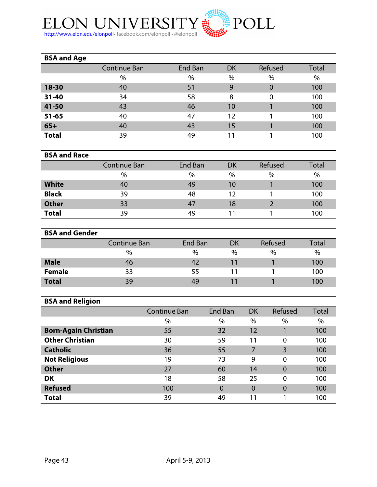

| <b>BSA and Age</b>          |                     |                     |                |                  |                  |              |
|-----------------------------|---------------------|---------------------|----------------|------------------|------------------|--------------|
|                             | <b>Continue Ban</b> | End Ban             | <b>DK</b>      |                  | Refused          | <b>Total</b> |
|                             | %                   | $\%$                | $\%$           |                  | $\%$             | $\%$         |
| 18-30                       | 40                  | 51                  | 9              |                  | $\overline{0}$   | 100          |
| 31-40                       | 34                  | 58                  | 8              |                  | 0                | 100          |
| 41-50                       | 43                  | 46                  | 10             |                  | 1                | 100          |
| $51 - 65$                   | 40                  | 47                  | 12             |                  | 1                | 100          |
| $65+$                       | 40                  | 43                  | 15             |                  | 1                | 100          |
| <b>Total</b>                | 39                  | 49                  | 11             |                  | 1                | 100          |
|                             |                     |                     |                |                  |                  |              |
| <b>BSA and Race</b>         |                     |                     |                |                  |                  |              |
|                             | <b>Continue Ban</b> | <b>End Ban</b>      | <b>DK</b>      |                  | Refused          | <b>Total</b> |
|                             | $\%$                | $\%$                | $\%$           |                  | %                | $\%$         |
| <b>White</b>                | 40                  | 49                  | 10             |                  | 1                | 100          |
| <b>Black</b>                | 39                  | 48                  | 12             |                  | 1                | 100          |
| <b>Other</b>                | 33                  | 47                  | 18             |                  | $\overline{2}$   | 100          |
| Total                       | 39                  | 49                  | 11             |                  | 1                | 100          |
|                             |                     |                     |                |                  |                  |              |
| <b>BSA and Gender</b>       |                     |                     |                |                  |                  |              |
|                             | <b>Continue Ban</b> | <b>End Ban</b>      | <b>DK</b>      |                  | Refused          | <b>Total</b> |
|                             | $\%$                | $\%$                | %              |                  | $\%$             | %            |
| <b>Male</b>                 | 46                  | 42                  | 11             |                  | $\mathbf{1}$     | 100          |
| <b>Female</b>               | 33                  | 55                  | 11             |                  | 1                | 100          |
| <b>Total</b>                | 39                  | 49                  | 11             |                  | 1                | 100          |
|                             |                     |                     |                |                  |                  |              |
| <b>BSA and Religion</b>     |                     |                     |                |                  |                  |              |
|                             |                     | <b>Continue Ban</b> | <b>End Ban</b> | <b>DK</b>        | Refused          | <b>Total</b> |
|                             |                     | %                   | %              | $\%$             | %                | $\%$         |
| <b>Born-Again Christian</b> |                     | 55                  | 32             | 12               | 1                | 100          |
| <b>Other Christian</b>      |                     | 30                  | 59             | 11               | 0                | 100          |
| <b>Catholic</b>             |                     | 36                  | 55             | $\overline{7}$   | 3                | 100          |
| <b>Not Religious</b>        |                     | 19                  | 73             | 9                | 0                | 100          |
| <b>Other</b>                |                     | 27                  | 60             | 14               | $\pmb{0}$        | 100          |
| <b>DK</b>                   |                     | 18                  | 58             | 25               | $\mathbf 0$      | 100          |
| <b>Refused</b>              |                     | 100                 | $\mathbf 0$    | $\boldsymbol{0}$ | $\boldsymbol{0}$ | 100          |
| <b>Total</b>                |                     | 39                  | 49             | 11               | $\mathbf{1}$     | 100          |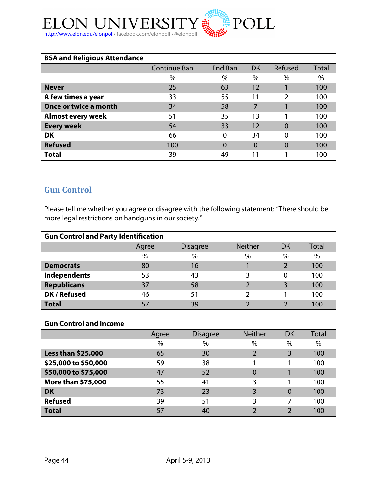

| <b>BSA and Religious Attendance</b> |                     |          |           |                |              |
|-------------------------------------|---------------------|----------|-----------|----------------|--------------|
|                                     | <b>Continue Ban</b> | End Ban  | <b>DK</b> | Refused        | <b>Total</b> |
|                                     | $\%$                | %        | $\%$      | %              | $\%$         |
| <b>Never</b>                        | 25                  | 63       | 12        |                | 100          |
| A few times a year                  | 33                  | 55       | 11        | $\overline{2}$ | 100          |
| Once or twice a month               | 34                  | 58       | 7         |                | 100          |
| <b>Almost every week</b>            | 51                  | 35       | 13        |                | 100          |
| <b>Every week</b>                   | 54                  | 33       | 12        | $\Omega$       | 100          |
| <b>DK</b>                           | 66                  | $\Omega$ | 34        | 0              | 100          |
| <b>Refused</b>                      | 100                 | 0        | $\Omega$  | $\Omega$       | 100          |
| <b>Total</b>                        | 39                  | 49       | 11        |                | 100          |

# **Gun Control**

Please tell me whether you agree or disagree with the following statement: "There should be more legal restrictions on handguns in our society."

| <b>Gun Control and Party Identification</b> |       |                 |                |               |       |  |  |  |  |  |
|---------------------------------------------|-------|-----------------|----------------|---------------|-------|--|--|--|--|--|
|                                             | Agree | <b>Disagree</b> | <b>Neither</b> | DK            | Total |  |  |  |  |  |
|                                             | %     | $\%$            | $\%$           | $\frac{0}{0}$ | $\%$  |  |  |  |  |  |
| <b>Democrats</b>                            | 80    | 16              |                |               | 100   |  |  |  |  |  |
| Independents                                | 53    | 43              | 3              | 0             | 100   |  |  |  |  |  |
| <b>Republicans</b>                          | 37    | 58              |                | 3             | 100   |  |  |  |  |  |
| DK / Refused                                | 46    | 51              | າ              |               | 100   |  |  |  |  |  |
| <b>Total</b>                                | 57    | 39              |                |               | 100   |  |  |  |  |  |

#### **Gun Control and Income**

|                           | Agree | <b>Disagree</b> | <b>Neither</b> | DK       | Total |
|---------------------------|-------|-----------------|----------------|----------|-------|
|                           | $\%$  | $\%$            | $\%$           | %        | %     |
| <b>Less than \$25,000</b> | 65    | 30              | $\overline{2}$ | 3        | 100   |
| \$25,000 to \$50,000      | 59    | 38              |                |          | 100   |
| \$50,000 to \$75,000      | 47    | 52              | $\Omega$       |          | 100   |
| <b>More than \$75,000</b> | 55    | 41              | 3              |          | 100   |
| <b>DK</b>                 | 73    | 23              | 3              | $\Omega$ | 100   |
| <b>Refused</b>            | 39    | 51              | 3              | 7        | 100   |
| <b>Total</b>              | 57    | 40              |                | າ        | 100   |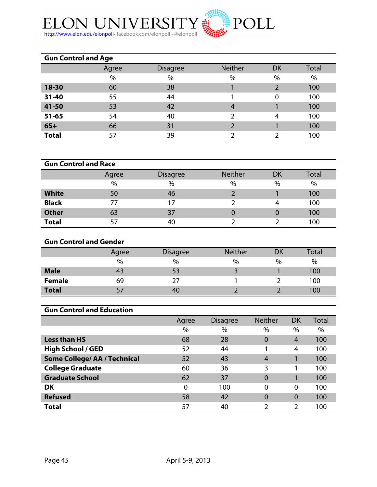

| <b>Gun Control and Age</b> |       |                 |                |    |              |  |  |  |  |  |
|----------------------------|-------|-----------------|----------------|----|--------------|--|--|--|--|--|
|                            | Agree | <b>Disagree</b> | <b>Neither</b> | DK | <b>Total</b> |  |  |  |  |  |
|                            | %     | $\%$            | %              | %  | $\%$         |  |  |  |  |  |
| 18-30                      | 60    | 38              |                | C  | 100          |  |  |  |  |  |
| $31 - 40$                  | 55    | 44              |                | 0  | 100          |  |  |  |  |  |
| 41-50                      | 53    | 42              | 4              |    | 100          |  |  |  |  |  |
| $51 - 65$                  | 54    | 40              | 2              | 4  | 100          |  |  |  |  |  |
| $65+$                      | 66    | 31              | $\overline{2}$ |    | 100          |  |  |  |  |  |
| <b>Total</b>               | 57    | 39              |                |    | 100          |  |  |  |  |  |

| <b>Gun Control and Race</b> |       |                 |                |      |       |  |
|-----------------------------|-------|-----------------|----------------|------|-------|--|
|                             | Agree | <b>Disagree</b> | <b>Neither</b> | DK   | Total |  |
|                             | $\%$  | $\%$            | $\%$           | $\%$ | %     |  |
| <b>White</b>                | 50    | 46              |                |      | 100   |  |
| <b>Black</b>                | 77    | 17              |                | 4    | 100   |  |
| <b>Other</b>                | 63    | 37              | 0              |      | 100   |  |
| <b>Total</b>                | 57    | 40              |                |      | 100   |  |

| <b>Gun Control and Gender</b> |       |                 |                |      |       |  |
|-------------------------------|-------|-----------------|----------------|------|-------|--|
|                               | Agree | <b>Disagree</b> | <b>Neither</b> | DK   | Total |  |
|                               | $\%$  | %               | $\%$           | $\%$ | %     |  |
| <b>Male</b>                   | 43    | 53              |                |      | 100   |  |
| <b>Female</b>                 | 69    | 27              |                |      | 100   |  |
| <b>Total</b>                  | 57    | 40              |                |      | 100   |  |

## **Gun Control and Education**

|                                     | Agree | <b>Disagree</b> | <b>Neither</b> | <b>DK</b>     | Total |
|-------------------------------------|-------|-----------------|----------------|---------------|-------|
|                                     | $\%$  | $\%$            | %              | $\%$          | $\%$  |
| <b>Less than HS</b>                 | 68    | 28              | $\Omega$       | 4             | 100   |
| <b>High School / GED</b>            | 52    | 44              |                | 4             | 100   |
| <b>Some College/ AA / Technical</b> | 52    | 43              | 4              |               | 100   |
| <b>College Graduate</b>             | 60    | 36              | 3              |               | 100   |
| <b>Graduate School</b>              | 62    | 37              | $\overline{0}$ |               | 100   |
| <b>DK</b>                           | 0     | 100             | $\Omega$       | 0             | 100   |
| <b>Refused</b>                      | 58    | 42              | $\Omega$       | 0             | 100   |
| <b>Total</b>                        | 57    | 40              | っ              | $\mathcal{P}$ | 100   |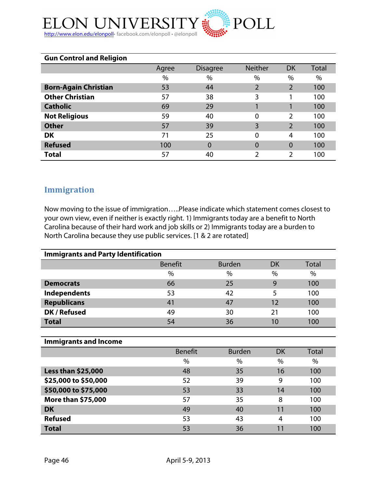

| <b>Gun Control and Religion</b> |       |                 |                |           |              |
|---------------------------------|-------|-----------------|----------------|-----------|--------------|
|                                 | Agree | <b>Disagree</b> | <b>Neither</b> | <b>DK</b> | <b>Total</b> |
|                                 | $\%$  | $\%$            | $\%$           | $\%$      | $\%$         |
| <b>Born-Again Christian</b>     | 53    | 44              | $\overline{2}$ | 2         | 100          |
| <b>Other Christian</b>          | 57    | 38              | 3              |           | 100          |
| <b>Catholic</b>                 | 69    | 29              |                |           | 100          |
| <b>Not Religious</b>            | 59    | 40              | 0              | 2         | 100          |
| <b>Other</b>                    | 57    | 39              | 3              | 2         | 100          |
| <b>DK</b>                       | 71    | 25              | 0              | 4         | 100          |
| <b>Refused</b>                  | 100   | $\overline{0}$  | $\overline{0}$ | $\Omega$  | 100          |
| <b>Total</b>                    | 57    | 40              | 2              | 2         | 100          |

# **Immigration**

Now moving to the issue of immigration…..Please indicate which statement comes closest to your own view, even if neither is exactly right. 1) Immigrants today are a benefit to North Carolina because of their hard work and job skills or 2) Immigrants today are a burden to North Carolina because they use public services. [1 & 2 are rotated]

| <b>Immigrants and Party Identification</b> |                |               |    |              |  |  |
|--------------------------------------------|----------------|---------------|----|--------------|--|--|
|                                            | <b>Benefit</b> | <b>Burden</b> | DK | <b>Total</b> |  |  |
|                                            | $\%$           | $\%$          | %  | $\%$         |  |  |
| <b>Democrats</b>                           | 66             | 25            | q  | 100          |  |  |
| Independents                               | 53             | 42            |    | 100          |  |  |
| <b>Republicans</b>                         | 41             | 47            | 12 | 100          |  |  |
| DK / Refused                               | 49             | 30            | 21 | 100          |  |  |
| <b>Total</b>                               | 54             | 36            | 10 | 100          |  |  |

| <b>Immigrants and Income</b> |                |               |      |       |
|------------------------------|----------------|---------------|------|-------|
|                              | <b>Benefit</b> | <b>Burden</b> | DK   | Total |
|                              | $\%$           | $\%$          | $\%$ | %     |
| <b>Less than \$25,000</b>    | 48             | 35            | 16   | 100   |
| \$25,000 to \$50,000         | 52             | 39            | 9    | 100   |
| \$50,000 to \$75,000         | 53             | 33            | 14   | 100   |
| <b>More than \$75,000</b>    | 57             | 35            | 8    | 100   |
| <b>DK</b>                    | 49             | 40            | 11   | 100   |
| <b>Refused</b>               | 53             | 43            | 4    | 100   |
| <b>Total</b>                 | 53             | 36            | 11   | 100   |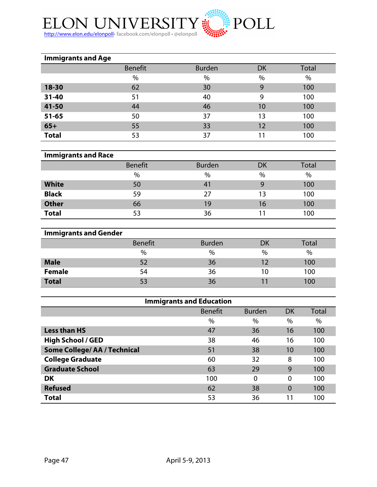

| <b>Immigrants and Age</b> |                |               |    |       |
|---------------------------|----------------|---------------|----|-------|
|                           | <b>Benefit</b> | <b>Burden</b> | DK | Total |
|                           | $\%$           | %             | %  | %     |
| 18-30                     | 62             | 30            | 9  | 100   |
| 31-40                     | 51             | 40            | 9  | 100   |
| 41-50                     | 44             | 46            | 10 | 100   |
| $51 - 65$                 | 50             | 37            | 13 | 100   |
| $65+$                     | 55             | 33            | 12 | 100   |
| <b>Total</b>              | 53             | 37            | 11 | 100   |

#### **Immigrants and Race**

|              | <b>Benefit</b> | <b>Burden</b> | DK | Total |
|--------------|----------------|---------------|----|-------|
|              | %              | $\%$          | %  | %     |
| <b>White</b> | 50             | 41            | g  | 100   |
| <b>Black</b> | 59             | 27            | 13 | 100   |
| <b>Other</b> | 66             | 19            | 16 | 100   |
| <b>Total</b> | 53             | 36            |    | 100   |

| <b>Immigrants and Gender</b> |                |               |      |       |
|------------------------------|----------------|---------------|------|-------|
|                              | <b>Benefit</b> | <b>Burden</b> | DK   | Total |
|                              | %              | $\%$          | $\%$ | $\%$  |
| <b>Male</b>                  | 52             | 36            |      | 100   |
| <b>Female</b>                | 54             | 36            | 10   | 100   |
| <b>Total</b>                 | 53             | 36            |      | 100   |

|                                     | <b>Immigrants and Education</b> |               |           |              |
|-------------------------------------|---------------------------------|---------------|-----------|--------------|
|                                     | <b>Benefit</b>                  | <b>Burden</b> | <b>DK</b> | <b>Total</b> |
|                                     | $\%$                            | $\%$          | %         | $\%$         |
| <b>Less than HS</b>                 | 47                              | 36            | 16        | 100          |
| <b>High School / GED</b>            | 38                              | 46            | 16        | 100          |
| <b>Some College/ AA / Technical</b> | 51                              | 38            | 10        | 100          |
| <b>College Graduate</b>             | 60                              | 32            | 8         | 100          |
| <b>Graduate School</b>              | 63                              | 29            | 9         | 100          |
| <b>DK</b>                           | 100                             | $\Omega$      | $\Omega$  | 100          |
| <b>Refused</b>                      | 62                              | 38            | $\Omega$  | 100          |
| <b>Total</b>                        | 53                              | 36            |           | 100          |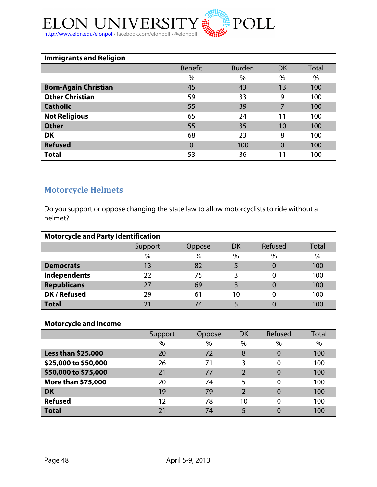

| <b>Immigrants and Religion</b> |                |               |                |       |
|--------------------------------|----------------|---------------|----------------|-------|
|                                | <b>Benefit</b> | <b>Burden</b> | <b>DK</b>      | Total |
|                                | %              | $\%$          | $\%$           | $\%$  |
| <b>Born-Again Christian</b>    | 45             | 43            | 13             | 100   |
| <b>Other Christian</b>         | 59             | 33            | 9              | 100   |
| <b>Catholic</b>                | 55             | 39            | 7              | 100   |
| <b>Not Religious</b>           | 65             | 24            | 11             | 100   |
| <b>Other</b>                   | 55             | 35            | 10             | 100   |
| <b>DK</b>                      | 68             | 23            | 8              | 100   |
| <b>Refused</b>                 | $\overline{0}$ | 100           | $\overline{0}$ | 100   |
| <b>Total</b>                   | 53             | 36            | 11             | 100   |

# **Motorcycle Helmets**

Do you support or oppose changing the state law to allow motorcyclists to ride without a helmet?

| <b>Motorcycle and Party Identification</b> |         |        |      |         |       |  |
|--------------------------------------------|---------|--------|------|---------|-------|--|
|                                            | Support | Oppose | DK   | Refused | Total |  |
|                                            | $\%$    | $\%$   | $\%$ | $\%$    | $\%$  |  |
| <b>Democrats</b>                           | 13      | 82     |      |         | 100   |  |
| Independents                               | 22      | 75     | 3    |         | 100   |  |
| <b>Republicans</b>                         | 27      | 69     |      |         | 100   |  |
| DK / Refused                               | 29      | 61     | 10   |         | 100   |  |
| <b>Total</b>                               | 21      | 74     |      |         | 100   |  |

# **Motorcycle and Income**

|                           | Support | Oppose | DK   | Refused        | Total |
|---------------------------|---------|--------|------|----------------|-------|
|                           | $\%$    | $\%$   | $\%$ | $\%$           | $\%$  |
| <b>Less than \$25,000</b> | 20      | 72     | 8    | $\overline{0}$ | 100   |
| \$25,000 to \$50,000      | 26      | 71     | 3    | 0              | 100   |
| \$50,000 to \$75,000      | 21      | 77     | っ    | $\Omega$       | 100   |
| <b>More than \$75,000</b> | 20      | 74     | 5    | $\Omega$       | 100   |
| <b>DK</b>                 | 19      | 79     |      | 0              | 100   |
| <b>Refused</b>            | 12      | 78     | 10   | 0              | 100   |
| <b>Total</b>              | 21      | 74     |      | 0              | 100   |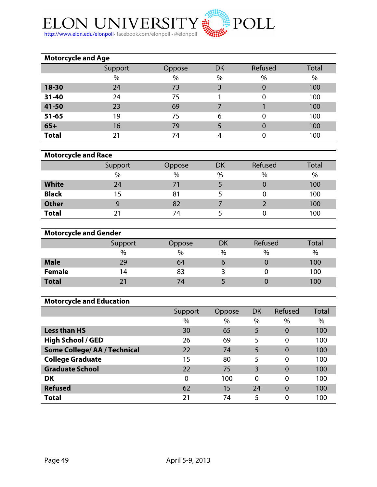

| <b>Motorcycle and Age</b>  |         |        |           |                |              |
|----------------------------|---------|--------|-----------|----------------|--------------|
|                            | Support | Oppose | <b>DK</b> | Refused        | Total        |
|                            | %       | $\%$   | $\%$      | $\%$           | %            |
| 18-30                      | 24      | 73     | 3         | $\mathbf 0$    | 100          |
| $31 - 40$                  | 24      | 75     |           | $\mathbf 0$    | 100          |
| 41-50                      | 23      | 69     | 7         | 1              | 100          |
| $51 - 65$                  | 19      | 75     | 6         | 0              | 100          |
| $65+$                      | 16      | 79     | 5         | $\overline{0}$ | 100          |
| <b>Total</b>               | 21      | 74     | 4         | $\mathbf 0$    | 100          |
|                            |         |        |           |                |              |
| <b>Motorcycle and Race</b> |         |        |           |                |              |
|                            | Support | Oppose | <b>DK</b> | Refused        | <b>Total</b> |
|                            | %       | %      | %         | $\%$           | $\%$         |
| <b>White</b>               | 24      | 71     | 5         | $\overline{0}$ | 100          |
| <b>Black</b>               | 15      | 81     | 5         | 0              | 100          |
| <b>Other</b>               | 9       | 82     | 7         | $\overline{2}$ | 100          |

| <b>Motorcycle and Gender</b> |               |        |      |         |       |  |  |
|------------------------------|---------------|--------|------|---------|-------|--|--|
|                              | Support       | Oppose | DK   | Refused | Total |  |  |
|                              | $\frac{0}{0}$ | %      | $\%$ | $\%$    | $\%$  |  |  |
| <b>Male</b>                  | 29            | 64     | 6    |         | 100   |  |  |
| <b>Female</b>                | 14            | 83     | 3    |         | 100   |  |  |
| <b>Total</b>                 | 21            | 74     |      |         | 100   |  |  |
|                              |               |        |      |         |       |  |  |

**Total** 21 74 5 0 100

| <b>Motorcycle and Education</b> |  |  |
|---------------------------------|--|--|
|---------------------------------|--|--|

|                                     | Support | Oppose | DK       | Refused        | <b>Total</b> |
|-------------------------------------|---------|--------|----------|----------------|--------------|
|                                     | $\%$    | $\%$   | $\%$     | $\%$           | $\%$         |
| <b>Less than HS</b>                 | 30      | 65     | 5        | $\mathbf 0$    | 100          |
| <b>High School / GED</b>            | 26      | 69     | 5        | 0              | 100          |
| <b>Some College/ AA / Technical</b> | 22      | 74     | 5        | $\overline{0}$ | 100          |
| <b>College Graduate</b>             | 15      | 80     | 5        | 0              | 100          |
| <b>Graduate School</b>              | 22      | 75     | 3        | $\Omega$       | 100          |
| <b>DK</b>                           | 0       | 100    | $\Omega$ | $\Omega$       | 100          |
| <b>Refused</b>                      | 62      | 15     | 24       | $\overline{0}$ | 100          |
| <b>Total</b>                        | 21      | 74     | 5        | 0              | 100          |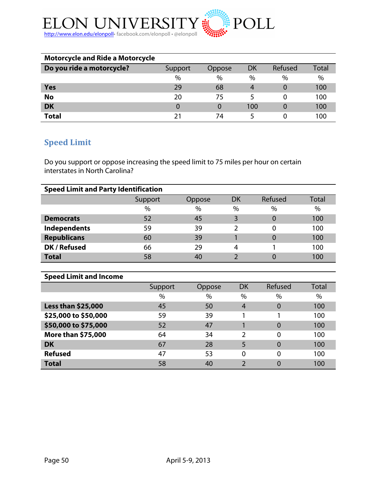

| <b>Motorcycle and Ride a Motorcycle</b> |         |        |      |         |       |
|-----------------------------------------|---------|--------|------|---------|-------|
| Do you ride a motorcycle?               | Support | Oppose | DK   | Refused | Total |
|                                         | $\%$    | $\%$   | $\%$ | $\%$    | $\%$  |
| <b>Yes</b>                              | 29      | 68     |      |         | 100   |
| No                                      | 20      | 75     |      |         | 100   |
| <b>DK</b>                               | 0       |        | 100  |         | 100   |
| <b>Total</b>                            | 21      | 74     |      |         | 100   |

# **Speed Limit**

Do you support or oppose increasing the speed limit to 75 miles per hour on certain interstates in North Carolina?

| <b>Speed Limit and Party Identification</b> |         |        |                |                |              |  |  |
|---------------------------------------------|---------|--------|----------------|----------------|--------------|--|--|
|                                             | Support | Oppose | <b>DK</b>      | Refused        | <b>Total</b> |  |  |
|                                             | $\%$    | $\%$   | $\%$           | $\%$           | $\%$         |  |  |
| <b>Democrats</b>                            | 52      | 45     | 3              | $\Omega$       | 100          |  |  |
| <b>Independents</b>                         | 59      | 39     | $\overline{2}$ | $\mathbf 0$    | 100          |  |  |
| <b>Republicans</b>                          | 60      | 39     | 1              | $\Omega$       | 100          |  |  |
| DK / Refused                                | 66      | 29     | 4              |                | 100          |  |  |
| <b>Total</b>                                | 58      | 40     | $\overline{2}$ | $\overline{0}$ | 100          |  |  |
|                                             |         |        |                |                |              |  |  |
| <b>Speed Limit and Income</b>               |         |        |                |                |              |  |  |
|                                             | Support | Oppose | <b>DK</b>      | Refused        | Total        |  |  |
|                                             | $\%$    | $\%$   | $\%$           | $\%$           | $\%$         |  |  |
| <b>Less than \$25,000</b>                   | 45      | 50     | $\overline{4}$ | $\Omega$       | 100          |  |  |
| \$25,000 to \$50,000                        | 59      | 39     |                |                | 100          |  |  |
| \$50,000 to \$75,000                        | 52      | 47     |                | $\Omega$       | 100          |  |  |
| More than \$75,000                          | 64      | 34     | 2              | $\Omega$       | 100          |  |  |
| <b>DK</b>                                   | 67      | 28     | 5              | 0              | 100          |  |  |

**Refused** 47 53 0 0 100 **Total** 58 40 2 0 100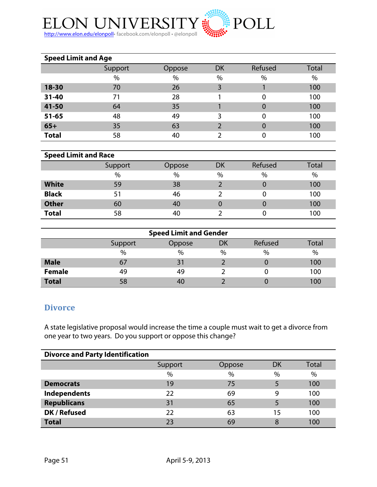

| <b>Speed Limit and Age</b> |         |        |      |         |              |  |  |
|----------------------------|---------|--------|------|---------|--------------|--|--|
|                            | Support | Oppose | DK   | Refused | <b>Total</b> |  |  |
|                            | %       | $\%$   | $\%$ | $\%$    | %            |  |  |
| 18-30                      | 70      | 26     |      |         | 100          |  |  |
| 31-40                      | 71      | 28     |      | 0       | 100          |  |  |
| 41-50                      | 64      | 35     |      | 0       | 100          |  |  |
| $51 - 65$                  | 48      | 49     |      | 0       | 100          |  |  |
| $65+$                      | 35      | 63     |      | 0       | 100          |  |  |
| <b>Total</b>               | 58      | 40     |      | 0       | 100          |  |  |

#### **Speed Limit and Race**

| - - - - -    |         |        |      |         |              |
|--------------|---------|--------|------|---------|--------------|
|              | Support | Oppose | DK   | Refused | <b>Total</b> |
|              | %       | %      | $\%$ | $\%$    | %            |
| <b>White</b> | 59      | 38     |      | O       | 100          |
| <b>Black</b> | 51      | 46     |      |         | 100          |
| <b>Other</b> | 60      | 40     |      | $\cup$  | 100          |
| <b>Total</b> | 58      | 40     |      |         | 100          |

| <b>Speed Limit and Gender</b> |               |        |      |         |       |  |  |
|-------------------------------|---------------|--------|------|---------|-------|--|--|
|                               | Support       | Oppose | DK   | Refused | Total |  |  |
|                               | $\frac{0}{0}$ | $\%$   | $\%$ | $\%$    | $\%$  |  |  |
| <b>Male</b>                   | 67            | 31     |      |         | 100   |  |  |
| <b>Female</b>                 | 49            | 49     |      |         | 100   |  |  |
| <b>Total</b>                  | 58            | 40     |      |         | 100   |  |  |

# **Divorce**

A state legislative proposal would increase the time a couple must wait to get a divorce from one year to two years. Do you support or oppose this change?

| <b>Divorce and Party Identification</b> |               |        |      |              |
|-----------------------------------------|---------------|--------|------|--------------|
|                                         | Support       | Oppose | DK   | <b>Total</b> |
|                                         | $\frac{0}{0}$ | $\%$   | $\%$ | $\%$         |
| <b>Democrats</b>                        | 19            | 75     |      | 100          |
| Independents                            | 22            | 69     | 9    | 100          |
| <b>Republicans</b>                      | 31            | 65     |      | 100          |
| DK / Refused                            | 22            | 63     | 15   | 100          |
| <b>Total</b>                            | 23            | 69     | 8    | 100          |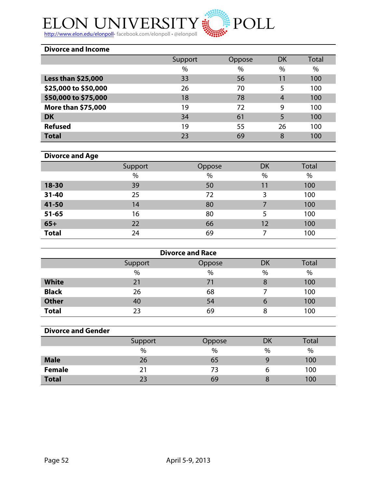



# **Divorce and Income**

|                           | Support | Oppose | DK             | Total |
|---------------------------|---------|--------|----------------|-------|
|                           | $\%$    | $\%$   | $\%$           | %     |
| <b>Less than \$25,000</b> | 33      | 56     | 11             | 100   |
| \$25,000 to \$50,000      | 26      | 70     | 5              | 100   |
| \$50,000 to \$75,000      | 18      | 78     | $\overline{4}$ | 100   |
| <b>More than \$75,000</b> | 19      | 72     | 9              | 100   |
| <b>DK</b>                 | 34      | 61     | 5              | 100   |
| <b>Refused</b>            | 19      | 55     | 26             | 100   |
| <b>Total</b>              | 23      | 69     | 8              | 100   |

#### **Divorce and Age**

|              | Support | Oppose | <b>DK</b> | Total |
|--------------|---------|--------|-----------|-------|
|              | %       | $\%$   | $\%$      | $\%$  |
| 18-30        | 39      | 50     | 11        | 100   |
| 31-40        | 25      | 72     | 3         | 100   |
| 41-50        | 14      | 80     |           | 100   |
| $51 - 65$    | 16      | 80     | 5         | 100   |
| $65+$        | 22      | 66     | 12        | 100   |
| <b>Total</b> | 24      | 69     |           | 100   |

| <b>Divorce and Race</b> |                                  |      |      |      |  |  |  |  |
|-------------------------|----------------------------------|------|------|------|--|--|--|--|
|                         | DK<br>Total<br>Support<br>Oppose |      |      |      |  |  |  |  |
|                         | %                                | $\%$ | $\%$ | $\%$ |  |  |  |  |
| <b>White</b>            | 21                               | 71   | 8    | 100  |  |  |  |  |
| <b>Black</b>            | 26                               | 68   |      | 100  |  |  |  |  |
| <b>Other</b>            | 40                               | 54   | 6    | 100  |  |  |  |  |
| <b>Total</b>            | 23                               | 69   | 8    | 100  |  |  |  |  |

| <b>Divorce and Gender</b> |         |        |      |       |
|---------------------------|---------|--------|------|-------|
|                           | Support | Oppose |      | Total |
|                           | %       | $\%$   | $\%$ | $\%$  |
| <b>Male</b>               | 26      | 65     |      | 100   |
| <b>Female</b>             | 21      | 73     |      | 100   |
| <b>Total</b>              | 23      | 69     |      | 100   |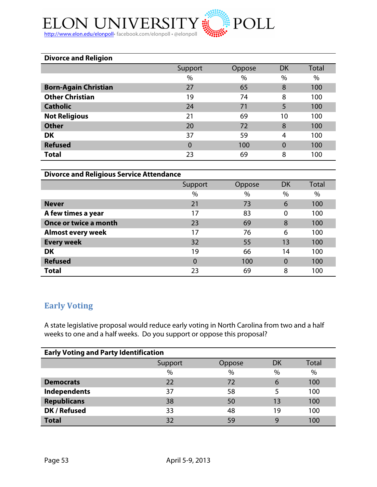

| <b>Divorce and Religion</b> |         |        |           |              |
|-----------------------------|---------|--------|-----------|--------------|
|                             | Support | Oppose | <b>DK</b> | <b>Total</b> |
|                             | $\%$    | $\%$   | $\%$      | $\%$         |
| <b>Born-Again Christian</b> | 27      | 65     | 8         | 100          |
| <b>Other Christian</b>      | 19      | 74     | 8         | 100          |
| <b>Catholic</b>             | 24      | 71     | 5         | 100          |
| <b>Not Religious</b>        | 21      | 69     | 10        | 100          |
| <b>Other</b>                | 20      | 72     | 8         | 100          |
| <b>DK</b>                   | 37      | 59     | 4         | 100          |
| <b>Refused</b>              | 0       | 100    | $\Omega$  | 100          |
| <b>Total</b>                | 23      | 69     | 8         | 100          |

# **Divorce and Religious Service Attendance**

|                          | Support        | Oppose | <b>DK</b>      | <b>Total</b> |
|--------------------------|----------------|--------|----------------|--------------|
|                          | %              | $\%$   | %              | $\%$         |
| <b>Never</b>             | 21             | 73     | 6              | 100          |
| A few times a year       | 17             | 83     | $\overline{0}$ | 100          |
| Once or twice a month    | 23             | 69     | 8              | 100          |
| <b>Almost every week</b> | 17             | 76     | 6              | 100          |
| <b>Every week</b>        | 32             | 55     | 13             | 100          |
| <b>DK</b>                | 19             | 66     | 14             | 100          |
| <b>Refused</b>           | $\overline{0}$ | 100    | $\overline{0}$ | 100          |
| <b>Total</b>             | 23             | 69     | 8              | 100          |

# **Early Voting**

A state legislative proposal would reduce early voting in North Carolina from two and a half weeks to one and a half weeks. Do you support or oppose this proposal?

| <b>Early Voting and Party Identification</b> |         |        |      |       |  |  |
|----------------------------------------------|---------|--------|------|-------|--|--|
|                                              | Support | Oppose | DK   | Total |  |  |
|                                              | $\%$    | $\%$   | $\%$ | %     |  |  |
| <b>Democrats</b>                             | 22      | 72     | 6    | 100   |  |  |
| <b>Independents</b>                          | 37      | 58     | 5    | 100   |  |  |
| <b>Republicans</b>                           | 38      | 50     | 13   | 100   |  |  |
| DK / Refused                                 | 33      | 48     | 19   | 100   |  |  |
| <b>Total</b>                                 | 32      | 59     | 9    | 100   |  |  |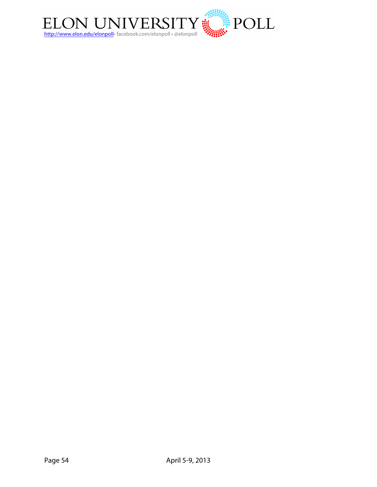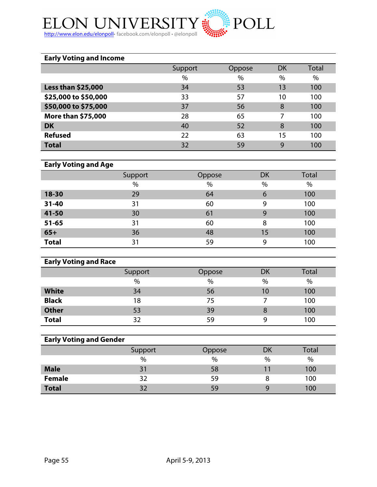

| <b>Early Voting and Income</b> |         |        |             |              |
|--------------------------------|---------|--------|-------------|--------------|
|                                | Support | Oppose | DK          | <b>Total</b> |
|                                | %       | $\%$   | %           | %            |
| <b>Less than \$25,000</b>      | 34      | 53     | 13          | 100          |
| \$25,000 to \$50,000           | 33      | 57     | 10          | 100          |
| \$50,000 to \$75,000           | 37      | 56     | 8           | 100          |
| <b>More than \$75,000</b>      | 28      | 65     |             | 100          |
| <b>DK</b>                      | 40      | 52     | 8           | 100          |
| <b>Refused</b>                 | 22      | 63     | 15          | 100          |
| <b>Total</b>                   | 32      | 59     | $\mathbf Q$ | 100          |

#### **Early Voting and Age**

|              | Support | Oppose | DK   | <b>Total</b> |
|--------------|---------|--------|------|--------------|
|              | %       | $\%$   | $\%$ | $\%$         |
| 18-30        | 29      | 64     | 6    | 100          |
| 31-40        | 31      | 60     | 9    | 100          |
| 41-50        | 30      | 61     | 9    | 100          |
| $51 - 65$    | 31      | 60     | 8    | 100          |
| $65+$        | 36      | 48     | 15   | 100          |
| <b>Total</b> | 31      | 59     | 9    | 100          |

# **Early Voting and Race**

|              | Support | Oppose | DK   | Total |
|--------------|---------|--------|------|-------|
|              | $\%$    | %      | $\%$ | %     |
| <b>White</b> | 34      | 56     | 10   | 100   |
| <b>Black</b> | 18      | 75     |      | 100   |
| <b>Other</b> | 53      | 39     |      | 100   |
| <b>Total</b> | 32      | 59     | q    | 100   |

| <b>Early Voting and Gender</b> |         |        |    |       |
|--------------------------------|---------|--------|----|-------|
|                                | Support | Oppose | DK | Total |
|                                | $\%$    | $\%$   | %  | %     |
| <b>Male</b>                    | 31      | 58     |    | 100   |
| <b>Female</b>                  | 32      | 59     |    | 100   |
| <b>Total</b>                   | 32      | 59     |    | 100   |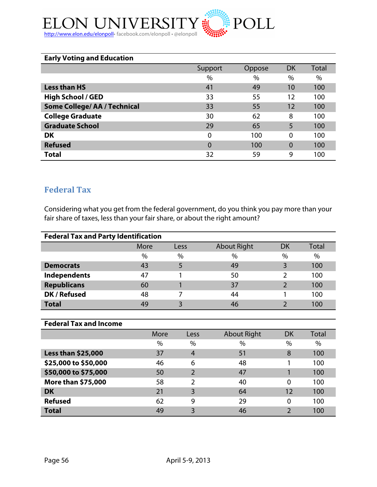

| <b>Early Voting and Education</b>   |         |        |          |              |  |
|-------------------------------------|---------|--------|----------|--------------|--|
|                                     | Support | Oppose | DK       | <b>Total</b> |  |
|                                     | %       | %      | $\%$     | $\%$         |  |
| <b>Less than HS</b>                 | 41      | 49     | 10       | 100          |  |
| <b>High School / GED</b>            | 33      | 55     | 12       | 100          |  |
| <b>Some College/ AA / Technical</b> | 33      | 55     | 12       | 100          |  |
| <b>College Graduate</b>             | 30      | 62     | 8        | 100          |  |
| <b>Graduate School</b>              | 29      | 65     | 5        | 100          |  |
| <b>DK</b>                           | 0       | 100    | 0        | 100          |  |
| <b>Refused</b>                      | 0       | 100    | $\Omega$ | 100          |  |
| <b>Total</b>                        | 32      | 59     | 9        | 100          |  |

# **Federal Tax**

Considering what you get from the federal government, do you think you pay more than your fair share of taxes, less than your fair share, or about the right amount?

| <b>Federal Tax and Party Identification</b> |      |      |                    |      |       |  |
|---------------------------------------------|------|------|--------------------|------|-------|--|
|                                             | More | Less | <b>About Right</b> | DK   | Total |  |
|                                             | $\%$ | %    | $\%$               | $\%$ | $\%$  |  |
| <b>Democrats</b>                            | 43   |      | 49                 | 3    | 100   |  |
| Independents                                | 47   |      | 50                 | າ    | 100   |  |
| <b>Republicans</b>                          | 60   |      | 37                 |      | 100   |  |
| DK / Refused                                | 48   |      | 44                 |      | 100   |  |
| <b>Total</b>                                | 49   |      | 46                 |      | 100   |  |

#### **Federal Tax and Income**

|                           | More | <b>Less</b>    | <b>About Right</b> | DK       | Total |
|---------------------------|------|----------------|--------------------|----------|-------|
|                           | $\%$ | %              | $\%$               | $\%$     | $\%$  |
| <b>Less than \$25,000</b> | 37   | 4              | 51                 | 8        | 100   |
| \$25,000 to \$50,000      | 46   | 6              | 48                 |          | 100   |
| \$50,000 to \$75,000      | 50   | $\mathfrak{D}$ | 47                 |          | 100   |
| <b>More than \$75,000</b> | 58   | 2              | 40                 | $\Omega$ | 100   |
| <b>DK</b>                 | 21   | 3              | 64                 | 12       | 100   |
| <b>Refused</b>            | 62   | 9              | 29                 | 0        | 100   |
| <b>Total</b>              | 49   | 3              | 46                 | າ        | 100   |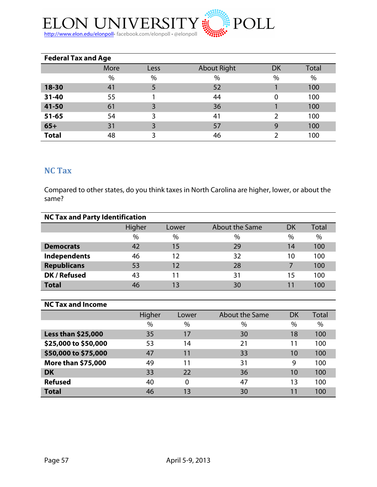

| <b>Federal Tax and Age</b> |      |      |                    |    |       |  |  |  |  |  |
|----------------------------|------|------|--------------------|----|-------|--|--|--|--|--|
|                            | More | Less | <b>About Right</b> | DK | Total |  |  |  |  |  |
|                            | %    | $\%$ | $\%$               | %  | %     |  |  |  |  |  |
| 18-30                      | 41   | 5    | 52                 |    | 100   |  |  |  |  |  |
| 31-40                      | 55   |      | 44                 | 0  | 100   |  |  |  |  |  |
| 41-50                      | 61   | 3    | 36                 |    | 100   |  |  |  |  |  |
| $51 - 65$                  | 54   | 3    | 41                 | າ  | 100   |  |  |  |  |  |
| $65+$                      | 31   | 3    | 57                 | g  | 100   |  |  |  |  |  |
| <b>Total</b>               | 48   | 3    | 46                 | า  | 100   |  |  |  |  |  |

# **NC(Tax**

Compared to other states, do you think taxes in North Carolina are higher, lower, or about the same?

| <b>NC Tax and Party Identification</b> |        |                         |      |      |              |  |  |  |  |
|----------------------------------------|--------|-------------------------|------|------|--------------|--|--|--|--|
|                                        | Higher | About the Same<br>Lower |      | DK   | <b>Total</b> |  |  |  |  |
|                                        | $\%$   | $\%$                    | $\%$ | $\%$ | $\%$         |  |  |  |  |
| <b>Democrats</b>                       | 42     | 15                      | 29   | 14   | 100          |  |  |  |  |
| Independents                           | 46     | 12                      | 32   | 10   | 100          |  |  |  |  |
| <b>Republicans</b>                     | 53     | 12                      | 28   |      | 100          |  |  |  |  |
| DK / Refused                           | 43     | 11                      | 31   | 15   | 100          |  |  |  |  |
| <b>Total</b>                           | 46     | 13                      | 30   | 11   | 100          |  |  |  |  |

| <b>NC Tax and Income</b>  |        |          |                |      |       |
|---------------------------|--------|----------|----------------|------|-------|
|                           | Higher | Lower    | About the Same | DK   | Total |
|                           | $\%$   | %        | $\%$           | $\%$ | $\%$  |
| <b>Less than \$25,000</b> | 35     | 17       | 30             | 18   | 100   |
| \$25,000 to \$50,000      | 53     | 14       | 21             | 11   | 100   |
| \$50,000 to \$75,000      | 47     | 11       | 33             | 10   | 100   |
| More than \$75,000        | 49     | 11       | 31             | 9    | 100   |
| <b>DK</b>                 | 33     | 22       | 36             | 10   | 100   |
| <b>Refused</b>            | 40     | $\Omega$ | 47             | 13   | 100   |
| <b>Total</b>              | 46     | 13       | 30             | 11   | 100   |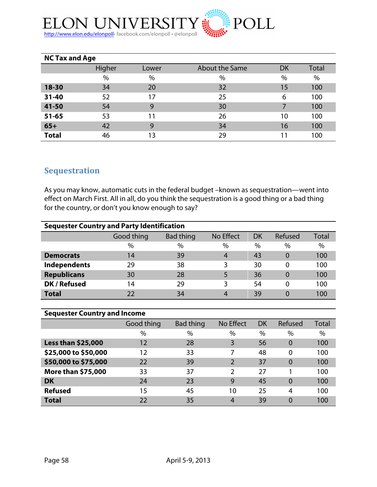

| <b>NC Tax and Age</b> |        |       |                |    |       |  |  |  |  |
|-----------------------|--------|-------|----------------|----|-------|--|--|--|--|
|                       | Higher | Lower | About the Same | DK | Total |  |  |  |  |
|                       | $\%$   | %     | %              | %  | $\%$  |  |  |  |  |
| 18-30                 | 34     | 20    | 32             | 15 | 100   |  |  |  |  |
| $31 - 40$             | 52     | 17    | 25             | 6  | 100   |  |  |  |  |
| 41-50                 | 54     | 9     | 30             |    | 100   |  |  |  |  |
| $51 - 65$             | 53     | 11    | 26             | 10 | 100   |  |  |  |  |
| $65+$                 | 42     | 9     | 34             | 16 | 100   |  |  |  |  |
| <b>Total</b>          | 46     | 13    | 29             | 11 | 100   |  |  |  |  |

# **Sequestration**

As you may know, automatic cuts in the federal budget –known as sequestration—went into effect on March First. All in all, do you think the sequestration is a good thing or a bad thing for the country, or don't you know enough to say?

| <b>Sequester Country and Party Identification</b> |            |                  |           |      |          |              |  |  |  |  |
|---------------------------------------------------|------------|------------------|-----------|------|----------|--------------|--|--|--|--|
|                                                   | Good thing | <b>Bad thing</b> | No Effect | DK   | Refused  | <b>Total</b> |  |  |  |  |
|                                                   | $\%$       | $\%$             | $\%$      | $\%$ | $\%$     | $\%$         |  |  |  |  |
| <b>Democrats</b>                                  | 14         | 39               | 4         | 43   | 0        | 100          |  |  |  |  |
| Independents                                      | 29         | 38               | 3         | 30   | 0        | 100          |  |  |  |  |
| <b>Republicans</b>                                | 30         | 28               | 5         | 36   | 0        | 100          |  |  |  |  |
| DK / Refused                                      | 14         | 29               | 3         | 54   | $\Omega$ | 100          |  |  |  |  |
| <b>Total</b>                                      | 22         | 34               | 4         | 39   | 0        | 100          |  |  |  |  |

|                           | Good thing | <b>Bad thing</b> | No Effect      | DK   | Refused  | Total |
|---------------------------|------------|------------------|----------------|------|----------|-------|
|                           | $\%$       | $\%$             | %              | $\%$ | $\%$     | $\%$  |
| <b>Less than \$25,000</b> | 12         | 28               | 3              | 56   | $\Omega$ | 100   |
| \$25,000 to \$50,000      | 12         | 33               | 7              | 48   | 0        | 100   |
| \$50,000 to \$75,000      | 22         | 39               | $\overline{2}$ | 37   | $\Omega$ | 100   |
| <b>More than \$75,000</b> | 33         | 37               | 2              | 27   |          | 100   |
| <b>DK</b>                 | 24         | 23               | 9              | 45   | $\Omega$ | 100   |
| <b>Refused</b>            | 15         | 45               | 10             | 25   | 4        | 100   |
| <b>Total</b>              | 22         | 35               | 4              | 39   |          | 100   |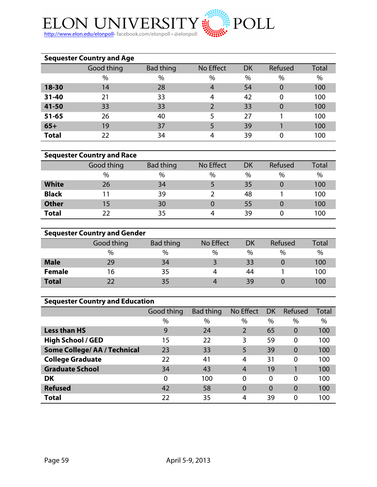

|              | <b>Sequester Country and Age</b> |                  |           |           |                |              |
|--------------|----------------------------------|------------------|-----------|-----------|----------------|--------------|
|              | Good thing                       | <b>Bad thing</b> | No Effect | <b>DK</b> | Refused        | <b>Total</b> |
|              | %                                | $\%$             | %         | %         | $\%$           | %            |
| 18-30        | 14                               | 28               | 4         | 54        | $\Omega$       | 100          |
| 31-40        | 21                               | 33               | 4         | 42        | $\Omega$       | 100          |
| 41-50        | 33                               | 33               |           | 33        | $\overline{0}$ | 100          |
| $51 - 65$    | 26                               | 40               |           | 27        |                | 100          |
| $65+$        | 19                               | 37               |           | 39        |                | 100          |
| <b>Total</b> | 22                               | 34               | 4         | 39        | 0              | 100          |

#### **Sequester Country and Race**

|              | Good thing | Bad thing | No Effect | <b>DK</b> | Refused | <b>Total</b> |
|--------------|------------|-----------|-----------|-----------|---------|--------------|
|              | $\%$       | $\%$      | $\%$      | $\%$      | $\%$    | %            |
| <b>White</b> | 26         | 34        |           | 35        |         | 100          |
| <b>Black</b> | 11         | 39        |           | 48        |         | 100          |
| <b>Other</b> | 15         | 30        |           | 55        |         | 100          |
| <b>Total</b> | 22         | 35        | Δ         | 39        |         | 100          |

| <b>Sequester Country and Gender</b> |            |           |           |           |         |              |  |  |  |
|-------------------------------------|------------|-----------|-----------|-----------|---------|--------------|--|--|--|
|                                     | Good thing | Bad thing | No Effect | <b>DK</b> | Refused | <b>Total</b> |  |  |  |
|                                     | $\%$       | $\%$      | $\%$      | $\%$      | $\%$    | $\%$         |  |  |  |
| <b>Male</b>                         | 29         | 34        | 3         | 33        |         | 100          |  |  |  |
| <b>Female</b>                       | 16         | 35        | 4         | 44        |         | 100          |  |  |  |
| <b>Total</b>                        | 22         | 35        | 4         | 39        |         | 100          |  |  |  |

#### **Sequester Country and Education**

|                                  | Good thing | <b>Bad thing</b> | No Effect      | DK       | Refused        | Total |
|----------------------------------|------------|------------------|----------------|----------|----------------|-------|
|                                  | %          | $\%$             | $\%$           | %        | %              | %     |
| <b>Less than HS</b>              | 9          | 24               | $\overline{2}$ | 65       | $\overline{0}$ | 100   |
| <b>High School / GED</b>         | 15         | 22               | 3              | 59       | 0              | 100   |
| <b>Some College/AA/Technical</b> | 23         | 33               | 5              | 39       | $\overline{0}$ | 100   |
| <b>College Graduate</b>          | 22         | 41               | 4              | 31       | 0              | 100   |
| <b>Graduate School</b>           | 34         | 43               | 4              | 19       |                | 100   |
| <b>DK</b>                        | $\Omega$   | 100              | $\Omega$       | $\Omega$ | 0              | 100   |
| <b>Refused</b>                   | 42         | 58               | 0              | $\Omega$ | $\overline{0}$ | 100   |
| <b>Total</b>                     | 22         | 35               | 4              | 39       | 0              | 100   |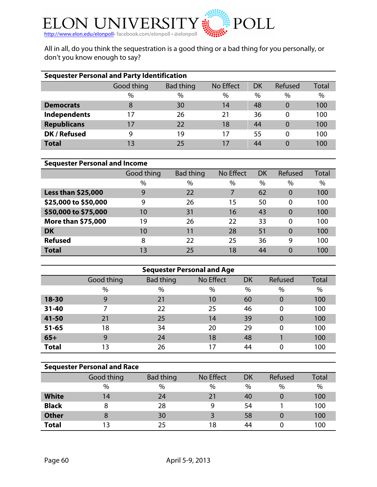

All in all, do you think the sequestration is a good thing or a bad thing for you personally, or don't you know enough to say?

| <b>Sequester Personal and Party Identification</b> |            |                  |           |      |         |       |  |  |  |
|----------------------------------------------------|------------|------------------|-----------|------|---------|-------|--|--|--|
|                                                    | Good thing | <b>Bad thing</b> | No Effect | DK   | Refused | Total |  |  |  |
|                                                    | $\%$       | $\%$             | $\%$      | $\%$ | $\%$    | $\%$  |  |  |  |
| <b>Democrats</b>                                   | 8          | 30               | 14        | 48   | 0       | 100   |  |  |  |
| Independents                                       | 17         | 26               | 21        | 36   | 0       | 100   |  |  |  |
| <b>Republicans</b>                                 | 17         | 22               | 18        | 44   | 0       | 100   |  |  |  |
| DK / Refused                                       | 9          | 19               | 17        | 55   | 0       | 100   |  |  |  |
| <b>Total</b>                                       | 13         | 25               | 17        | 44   |         | 100   |  |  |  |

#### **Sequester Personal and Income**

|                           | Good thing | <b>Bad thing</b> | No Effect | DK | Refused        | Total |
|---------------------------|------------|------------------|-----------|----|----------------|-------|
|                           | $\%$       | %                | %         | %  | $\%$           | $\%$  |
| <b>Less than \$25,000</b> | 9          | 22               | 7         | 62 | $\overline{0}$ | 100   |
| \$25,000 to \$50,000      | 9          | 26               | 15        | 50 | 0              | 100   |
| \$50,000 to \$75,000      | 10         | 31               | 16        | 43 | $\Omega$       | 100   |
| More than \$75,000        | 19         | 26               | 22        | 33 | $\Omega$       | 100   |
| <b>DK</b>                 | 10         | 11               | 28        | 51 | $\Omega$       | 100   |
| <b>Refused</b>            | 8          | 22               | 25        | 36 | 9              | 100   |
| <b>Total</b>              | 13         | 25               | 18        | 44 | 0              | 100   |

|              | <b>Sequester Personal and Age</b> |                  |           |           |                |              |  |  |  |  |
|--------------|-----------------------------------|------------------|-----------|-----------|----------------|--------------|--|--|--|--|
|              | Good thing                        | <b>Bad thing</b> | No Effect | <b>DK</b> | Refused        | <b>Total</b> |  |  |  |  |
|              | %                                 | $\%$             | $\%$      | %         | $\%$           | %            |  |  |  |  |
| 18-30        | 9                                 | 21               | 10        | 60        | 0              | 100          |  |  |  |  |
| $31 - 40$    |                                   | 22               | 25        | 46        | 0              | 100          |  |  |  |  |
| 41-50        | 21                                | 25               | 14        | 39        | $\overline{0}$ | 100          |  |  |  |  |
| $51 - 65$    | 18                                | 34               | 20        | 29        | 0              | 100          |  |  |  |  |
| $65+$        | 9                                 | 24               | 18        | 48        |                | 100          |  |  |  |  |
| <b>Total</b> | 13                                | 26               | 17        | 44        | 0              | 100          |  |  |  |  |

|              | <b>Sequester Personal and Race</b> |                  |           |      |          |       |
|--------------|------------------------------------|------------------|-----------|------|----------|-------|
|              | Good thing                         | <b>Bad thing</b> | No Effect | DK   | Refused  | Total |
|              | $\%$                               | %                | $\%$      | $\%$ | $\%$     | $\%$  |
| <b>White</b> | 14                                 | 24               | 21        | 40   |          | 100   |
| <b>Black</b> | 8                                  | 28               | q         | 54   |          | 100   |
| <b>Other</b> | 8                                  | 30               |           | 58   | $\Omega$ | 100   |
| <b>Total</b> | 13                                 | 25               | 18        | 44   |          | 100   |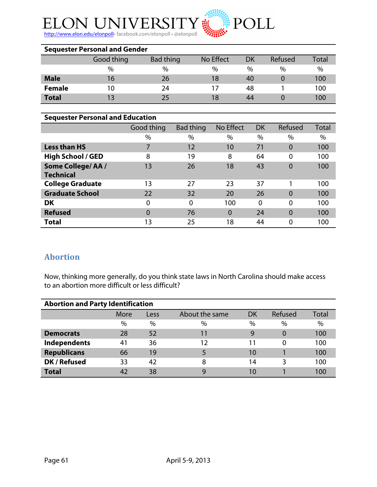

POLL

| <b>Sequester Personal and Gender</b> |            |           |           |      |         |       |  |  |  |
|--------------------------------------|------------|-----------|-----------|------|---------|-------|--|--|--|
|                                      | Good thing | Bad thing | No Effect | DK   | Refused | Total |  |  |  |
|                                      | $\%$       | $\%$      | %         | $\%$ | $\%$    | $\%$  |  |  |  |
| <b>Male</b>                          | 16         | 26        | 18        | 40   |         | 100   |  |  |  |
| <b>Female</b>                        | 10         | 24        |           | 48   |         | 100   |  |  |  |
| <b>Total</b>                         |            | 25        | 18        | 44   |         | 100   |  |  |  |

#### **Sequester Personal and Education**

|                          | Good thing | Bad thing | No Effect | <b>DK</b> | Refused  | Total |
|--------------------------|------------|-----------|-----------|-----------|----------|-------|
|                          | %          | %         | $\%$      | $\%$      | $\%$     | %     |
| <b>Less than HS</b>      |            | 12        | 10        | 71        | $\Omega$ | 100   |
| <b>High School / GED</b> | 8          | 19        | 8         | 64        | 0        | 100   |
| <b>Some College/AA/</b>  | 13         | 26        | 18        | 43        | 0        | 100   |
| <b>Technical</b>         |            |           |           |           |          |       |
| <b>College Graduate</b>  | 13         | 27        | 23        | 37        |          | 100   |
| <b>Graduate School</b>   | 22         | 32        | 20        | 26        | $\Omega$ | 100   |
| <b>DK</b>                | 0          | $\Omega$  | 100       | $\Omega$  | 0        | 100   |
| <b>Refused</b>           | $\Omega$   | 76        | $\Omega$  | 24        | 0        | 100   |
| <b>Total</b>             | 13         | 25        | 18        | 44        |          | 100   |

# **Abortion**

Now, thinking more generally, do you think state laws in North Carolina should make access to an abortion more difficult or less difficult?

| <b>Abortion and Party Identification</b> |      |      |                |             |         |       |  |  |  |  |
|------------------------------------------|------|------|----------------|-------------|---------|-------|--|--|--|--|
|                                          | More | Less | About the same |             | Refused | Total |  |  |  |  |
|                                          | $\%$ | %    | $\%$           | $\%$        | %       | %     |  |  |  |  |
| <b>Democrats</b>                         | 28   | 52   |                | $\mathbf Q$ |         | 100   |  |  |  |  |
| Independents                             | 41   | 36   | 12             | 11          |         | 100   |  |  |  |  |
| <b>Republicans</b>                       | 66   | 19   |                | 10          |         | 100   |  |  |  |  |
| DK / Refused                             | 33   | 42   | 8              | 14          | ξ       | 100   |  |  |  |  |
| <b>Total</b>                             | 42   | 38   | q              | 10          |         | 100   |  |  |  |  |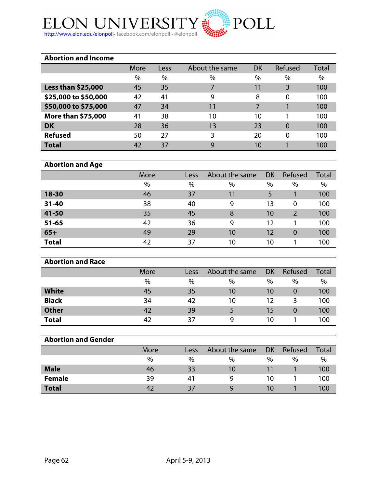

| <b>Abortion and Income</b> |      |      |                |      |                |              |
|----------------------------|------|------|----------------|------|----------------|--------------|
|                            | More | Less | About the same | DK   | Refused        | <b>Total</b> |
|                            | $\%$ | $\%$ | %              | $\%$ | $\%$           | $\%$         |
| <b>Less than \$25,000</b>  | 45   | 35   |                | 11   | 3              | 100          |
| \$25,000 to \$50,000       | 42   | 41   | 9              | 8    | 0              | 100          |
| \$50,000 to \$75,000       | 47   | 34   | 11             | 7    |                | 100          |
| <b>More than \$75,000</b>  | 41   | 38   | 10             | 10   |                | 100          |
| <b>DK</b>                  | 28   | 36   | 13             | 23   | $\overline{0}$ | 100          |
| <b>Refused</b>             | 50   | 27   | 3              | 20   | 0              | 100          |
| <b>Total</b>               | 42   | 37   | 9              | 10   |                | 100          |

#### **Abortion and Age**

|              | More | Less | About the same | <b>DK</b> | Refused        | Total |
|--------------|------|------|----------------|-----------|----------------|-------|
|              | $\%$ | %    | %              | %         | $\%$           | %     |
| 18-30        | 46   | 37   | 11             | 5         |                | 100   |
| $31 - 40$    | 38   | 40   | 9              | 13        | 0              | 100   |
| 41-50        | 35   | 45   | 8              | 10        | 2              | 100   |
| $51 - 65$    | 42   | 36   | 9              | 12        |                | 100   |
| $65+$        | 49   | 29   | 10             | 12        | $\overline{0}$ | 100   |
| <b>Total</b> | 42   | 37   | 10             | 10        |                | 100   |

# **Abortion and Race**

|              | More | Less | About the same | <b>DK</b> | Refused | Total |
|--------------|------|------|----------------|-----------|---------|-------|
|              | $\%$ | $\%$ | $\%$           | %         | %       | %     |
| <b>White</b> | 45   | 35   | 10             | 10        | 0       | 100   |
| <b>Black</b> | 34   | 42   | 10             | 12        |         | 100   |
| <b>Other</b> | 42   | 39   |                | 15        | 0       | 100   |
| <b>Total</b> | 42   | 37   | q              | 10        |         | 100   |

# **Abortion and Gender**

|               | More | Less | About the same | DK   | Refused | Total |
|---------------|------|------|----------------|------|---------|-------|
|               | $\%$ | $\%$ | $\%$           | $\%$ | $\%$    | %     |
| <b>Male</b>   | 46   | 33   | KO             |      |         | 100   |
| <b>Female</b> | 39   | 41   | Q              | 10   |         | 100   |
| <b>Total</b>  |      |      | q              | 10   |         | 100   |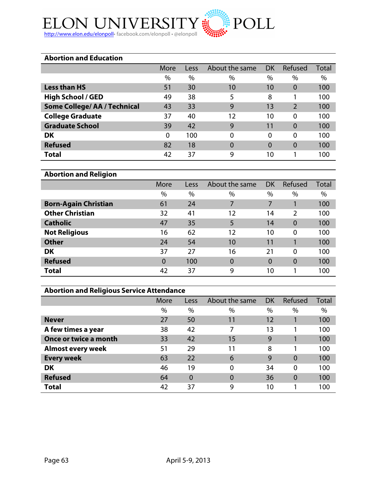

#### **Abortion and Education**

|                                     | More     | Less | About the same | DK       | Refused        | Total |
|-------------------------------------|----------|------|----------------|----------|----------------|-------|
|                                     | $\%$     | $\%$ | $\%$           | %        | $\%$           | %     |
| <b>Less than HS</b>                 | 51       | 30   | 10             | 10       | $\overline{0}$ | 100   |
| <b>High School / GED</b>            | 49       | 38   | 5              | 8        |                | 100   |
| <b>Some College/ AA / Technical</b> | 43       | 33   | 9              | 13       | $\overline{2}$ | 100   |
| <b>College Graduate</b>             | 37       | 40   | 12             | 10       | $\Omega$       | 100   |
| <b>Graduate School</b>              | 39       | 42   | 9              | 11       | $\Omega$       | 100   |
| <b>DK</b>                           | $\Omega$ | 100  | 0              | $\Omega$ | $\Omega$       | 100   |
| <b>Refused</b>                      | 82       | 18   | 0              | $\Omega$ | $\Omega$       | 100   |
| <b>Total</b>                        | 42       | 37   | 9              | 10       |                | 100   |

# **Abortion and Religion**

|                             | More     | Less | About the same | <b>DK</b>      | Refused  | Total |
|-----------------------------|----------|------|----------------|----------------|----------|-------|
|                             | $\%$     | $\%$ | %              | $\frac{0}{0}$  | $\%$     | $\%$  |
| <b>Born-Again Christian</b> | 61       | 24   | 7              | 7              |          | 100   |
| <b>Other Christian</b>      | 32       | 41   | 12             | 14             | 2        | 100   |
| <b>Catholic</b>             | 47       | 35   | 5              | 14             | 0        | 100   |
| <b>Not Religious</b>        | 16       | 62   | 12             | 10             | 0        | 100   |
| <b>Other</b>                | 24       | 54   | 10             | 11             |          | 100   |
| <b>DK</b>                   | 37       | 27   | 16             | 21             | $\Omega$ | 100   |
| <b>Refused</b>              | $\Omega$ | 100  | 0              | $\overline{0}$ | 0        | 100   |
| <b>Total</b>                | 42       | 37   | 9              | 10             |          | 100   |

#### **Abortion and Religious Service Attendance**

|                          | More | Less     | About the same | DK   | Refused        | Total |
|--------------------------|------|----------|----------------|------|----------------|-------|
|                          | $\%$ | %        | $\%$           | $\%$ | $\%$           | $\%$  |
| <b>Never</b>             | 27   | 50       | 11             | 12   |                | 100   |
| A few times a year       | 38   | 42       | 7              | 13   |                | 100   |
| Once or twice a month    | 33   | 42       | 15             | 9    |                | 100   |
| <b>Almost every week</b> | 51   | 29       | 11             | 8    |                | 100   |
| <b>Every week</b>        | 63   | 22       | 6              | 9    | $\overline{0}$ | 100   |
| <b>DK</b>                | 46   | 19       | $\Omega$       | 34   | $\Omega$       | 100   |
| <b>Refused</b>           | 64   | $\Omega$ | 0              | 36   | 0              | 100   |
| <b>Total</b>             | 42   | 37       | 9              | 10   |                | 100   |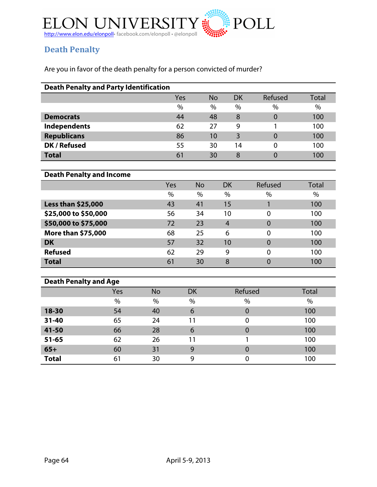

# **Death Penalty**

# Are you in favor of the death penalty for a person convicted of murder?

| <b>Death Penalty and Party Identification</b> |     |           |      |         |       |  |  |  |  |
|-----------------------------------------------|-----|-----------|------|---------|-------|--|--|--|--|
|                                               | Yes | <b>No</b> | DK   | Refused | Total |  |  |  |  |
|                                               | %   | $\%$      | $\%$ | $\%$    | %     |  |  |  |  |
| <b>Democrats</b>                              | 44  | 48        | 8    | 0       | 100   |  |  |  |  |
| Independents                                  | 62  | 27        | 9    |         | 100   |  |  |  |  |
| <b>Republicans</b>                            | 86  | 10        | 3    | 0       | 100   |  |  |  |  |
| DK / Refused                                  | 55  | 30        | 14   | 0       | 100   |  |  |  |  |
| <b>Total</b>                                  | 61  | 30        | 8    |         | 100   |  |  |  |  |

#### **Death Penalty and Income**

|                           | Yes  | <b>No</b> | DK | Refused       | Total |
|---------------------------|------|-----------|----|---------------|-------|
|                           | $\%$ | $\%$      | %  | $\frac{0}{0}$ | %     |
| <b>Less than \$25,000</b> | 43   | 41        | 15 |               | 100   |
| \$25,000 to \$50,000      | 56   | 34        | 10 | 0             | 100   |
| \$50,000 to \$75,000      | 72   | 23        | 4  | 0             | 100   |
| <b>More than \$75,000</b> | 68   | 25        | 6  | 0             | 100   |
| <b>DK</b>                 | 57   | 32        | 10 | 0             | 100   |
| <b>Refused</b>            | 62   | 29        | 9  | 0             | 100   |
| <b>Total</b>              | 61   | 30        | 8  | 0             | 100   |

| <b>Death Penalty and Age</b> |      |           |    |         |       |  |  |  |  |  |
|------------------------------|------|-----------|----|---------|-------|--|--|--|--|--|
|                              | Yes  | <b>No</b> | DK | Refused | Total |  |  |  |  |  |
|                              | $\%$ | %         | %  | $\%$    | %     |  |  |  |  |  |
| 18-30                        | 54   | 40        | 6  | 0       | 100   |  |  |  |  |  |
| $31 - 40$                    | 65   | 24        | 11 | 0       | 100   |  |  |  |  |  |
| 41-50                        | 66   | 28        | 6  | 0       | 100   |  |  |  |  |  |
| $51 - 65$                    | 62   | 26        | 11 |         | 100   |  |  |  |  |  |
| $65+$                        | 60   | 31        | 9  |         | 100   |  |  |  |  |  |
| <b>Total</b>                 | 61   | 30        | 9  |         | 100   |  |  |  |  |  |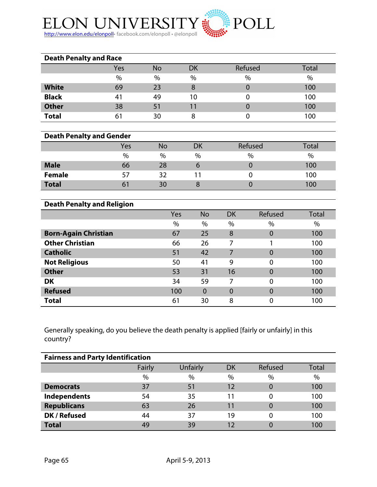

| <b>Death Penalty and Race</b> |      |      |           |         |       |  |  |  |  |  |
|-------------------------------|------|------|-----------|---------|-------|--|--|--|--|--|
|                               | Yes  | No   | <b>DK</b> | Refused | Total |  |  |  |  |  |
|                               | $\%$ | $\%$ | %         | %       | $\%$  |  |  |  |  |  |
| <b>White</b>                  | 69   | 23   | 8         |         | 100   |  |  |  |  |  |
| <b>Black</b>                  | 41   | 49   | 10        | O       | 100   |  |  |  |  |  |
| <b>Other</b>                  | 38   | 51   | 11        | 0       | 100   |  |  |  |  |  |
| <b>Total</b>                  | 61   | 30   | 8         |         | 100   |  |  |  |  |  |
|                               |      |      |           |         |       |  |  |  |  |  |

#### **Death Penalty and Gender**

|               | Yes  | No   | DK   | Refused       | Total |
|---------------|------|------|------|---------------|-------|
|               | $\%$ | $\%$ | $\%$ | $\frac{0}{0}$ | %     |
| <b>Male</b>   | 66   | 28   |      |               | 100   |
| <b>Female</b> | 57   | スつ   |      |               | 100   |
| <b>Total</b>  | b.   | 30   | O    |               | 100   |

# **Death Penalty and Religion**

| -                           |      |                |                |                |       |
|-----------------------------|------|----------------|----------------|----------------|-------|
|                             | Yes  | <b>No</b>      | <b>DK</b>      | Refused        | Total |
|                             | $\%$ | $\%$           | %              | $\%$           | %     |
| <b>Born-Again Christian</b> | 67   | 25             | 8              | $\overline{0}$ | 100   |
| <b>Other Christian</b>      | 66   | 26             | 7              | 1              | 100   |
| <b>Catholic</b>             | 51   | 42             | 7              | 0              | 100   |
| <b>Not Religious</b>        | 50   | 41             | 9              | 0              | 100   |
| <b>Other</b>                | 53   | 31             | 16             | 0              | 100   |
| <b>DK</b>                   | 34   | 59             | 7              | 0              | 100   |
| <b>Refused</b>              | 100  | $\overline{0}$ | $\overline{0}$ | 0              | 100   |
| Total                       | 61   | 30             | 8              | 0              | 100   |

Generally speaking, do you believe the death penalty is applied [fairly or unfairly] in this country?

| <b>Fairness and Party Identification</b> |        |          |           |         |       |  |  |  |  |
|------------------------------------------|--------|----------|-----------|---------|-------|--|--|--|--|
|                                          | Fairly | Unfairly | <b>DK</b> | Refused | Total |  |  |  |  |
|                                          | %      | $\%$     | $\%$      | $\%$    | $\%$  |  |  |  |  |
| <b>Democrats</b>                         | 37     | 51       | 12        | 0       | 100   |  |  |  |  |
| Independents                             | 54     | 35       | 11        | 0       | 100   |  |  |  |  |
| <b>Republicans</b>                       | 63     | 26       | 11        | 0       | 100   |  |  |  |  |
| <b>DK / Refused</b>                      | 44     | 37       | 19        | 0       | 100   |  |  |  |  |
| <b>Total</b>                             | 49     | 39       | 12        |         | 100   |  |  |  |  |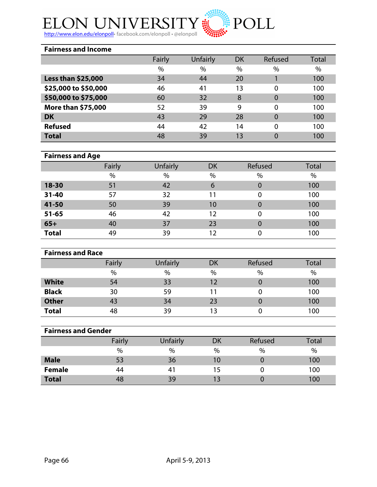



# **Fairness and Income**

|                           | Fairly | Unfairly | DK   | Refused | Total |
|---------------------------|--------|----------|------|---------|-------|
|                           | $\%$   | $\%$     | $\%$ | %       | %     |
| <b>Less than \$25,000</b> | 34     | 44       | 20   |         | 100   |
| \$25,000 to \$50,000      | 46     | 41       | 13   | 0       | 100   |
| \$50,000 to \$75,000      | 60     | 32       | 8    | 0       | 100   |
| More than \$75,000        | 52     | 39       | 9    | 0       | 100   |
| <b>DK</b>                 | 43     | 29       | 28   | 0       | 100   |
| <b>Refused</b>            | 44     | 42       | 14   | 0       | 100   |
| <b>Total</b>              | 48     | 39       | 13   | 0       | 100   |

#### **Fairness and Age**

|              | -      |          |           |          |       |
|--------------|--------|----------|-----------|----------|-------|
|              | Fairly | Unfairly | <b>DK</b> | Refused  | Total |
|              | $\%$   | $\%$     | %         | %        | $\%$  |
| 18-30        | 51     | 42       | 6         | 0        | 100   |
| 31-40        | 57     | 32       | 11        | 0        | 100   |
| 41-50        | 50     | 39       | 10        | 0        | 100   |
| $51 - 65$    | 46     | 42       | 12        | $\Omega$ | 100   |
| $65+$        | 40     | 37       | 23        | 0        | 100   |
| <b>Total</b> | 49     | 39       | 12        | 0        | 100   |

# **Fairness and Race**

|              | Fairly | Unfairly | DK   | Refused | <b>Total</b> |
|--------------|--------|----------|------|---------|--------------|
|              | %      | %        | $\%$ | %       | $\%$         |
| <b>White</b> | 54     | 33       | 12   |         | 100          |
| <b>Black</b> | 30     | 59       |      |         | 100          |
| <b>Other</b> | 43     | 34       | 23   |         | 100          |
| <b>Total</b> | 48     | 39       | 13   |         | 100          |

| <b>Fairness and Gender</b> |        |          |      |         |       |  |  |  |
|----------------------------|--------|----------|------|---------|-------|--|--|--|
|                            | Fairly | Unfairly | DK   | Refused | Total |  |  |  |
|                            | %      | $\%$     | $\%$ | $\%$    | %     |  |  |  |
| <b>Male</b>                | 53     | 36       | 10   |         | 100   |  |  |  |
| <b>Female</b>              | 44     | 41       | 15   |         | 100   |  |  |  |
| <b>Total</b>               | 48     | 39       | 13   |         | 100   |  |  |  |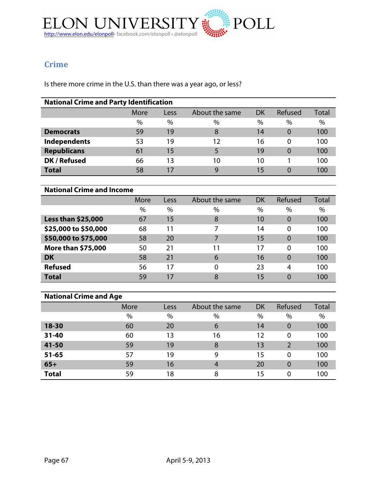

# **Crime**

Is there more crime in the U.S. than there was a year ago, or less?

| <b>National Crime and Party Identification</b> |      |      |                |      |          |       |  |  |  |
|------------------------------------------------|------|------|----------------|------|----------|-------|--|--|--|
|                                                | More | Less | About the same | DK   | Refused  | Total |  |  |  |
|                                                | $\%$ | $\%$ | $\%$           | $\%$ | $\%$     | $\%$  |  |  |  |
| <b>Democrats</b>                               | 59   | 19   | 8              | 14   | $\Omega$ | 100   |  |  |  |
| Independents                                   | 53   | 19   | 12             | 16   | 0        | 100   |  |  |  |
| <b>Republicans</b>                             | 61   | 15   | 5              | 19   | $\Omega$ | 100   |  |  |  |
| DK / Refused                                   | 66   | 13   | 10             | 10   |          | 100   |  |  |  |
| <b>Total</b>                                   | 58   | 17   | 9              | 15   | $\Omega$ | 100   |  |  |  |

# **National Crime and Income**

|                           | More | Less | About the same | DK | Refused | Total |
|---------------------------|------|------|----------------|----|---------|-------|
|                           | $\%$ | %    | $\%$           | %  | $\%$    | $\%$  |
| <b>Less than \$25,000</b> | 67   | 15   | 8              | 10 | 0       | 100   |
| \$25,000 to \$50,000      | 68   | 11   | 7              | 14 | 0       | 100   |
| \$50,000 to \$75,000      | 58   | 20   | 7              | 15 | 0       | 100   |
| <b>More than \$75,000</b> | 50   | 21   | 11             | 17 | 0       | 100   |
| <b>DK</b>                 | 58   | 21   | 6              | 16 | 0       | 100   |
| <b>Refused</b>            | 56   | 17   | 0              | 23 | 4       | 100   |
| <b>Total</b>              | 59   | 17   | 8              | 15 |         | 100   |

# **National Crime and Age**

|              | ້    |      |                |           |             |       |
|--------------|------|------|----------------|-----------|-------------|-------|
|              | More | Less | About the same | <b>DK</b> | Refused     | Total |
|              | %    | $\%$ | $\%$           | $\%$      | $\%$        | %     |
| 18-30        | 60   | 20   | 6              | 14        | $\mathbf 0$ | 100   |
| 31-40        | 60   | 13   | 16             | 12        | 0           | 100   |
| 41-50        | 59   | 19   | 8              | 13        | 2           | 100   |
| $51 - 65$    | 57   | 19   | 9              | 15        | $\Omega$    | 100   |
| $65+$        | 59   | 16   | 4              | 20        | $\mathbf 0$ | 100   |
| <b>Total</b> | 59   | 18   | 8              | 15        | 0           | 100   |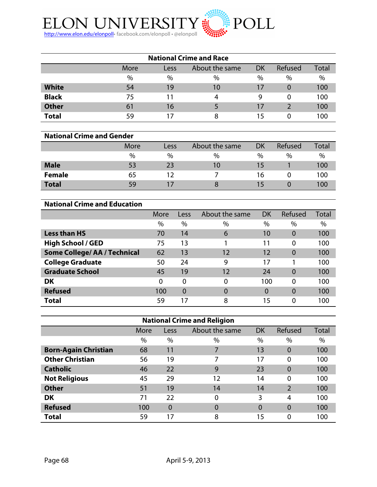

| <b>National Crime and Race</b> |      |      |                |           |          |              |  |  |  |
|--------------------------------|------|------|----------------|-----------|----------|--------------|--|--|--|
|                                | More | Less | About the same | <b>DK</b> | Refused  | <b>Total</b> |  |  |  |
|                                | $\%$ | $\%$ | %              | $\%$      | $\%$     | $\%$         |  |  |  |
| <b>White</b>                   | 54   | 19   | 10             | 17        | 0        | 100          |  |  |  |
| <b>Black</b>                   | 75   | 11   | 4              | q         | $\Omega$ | 100          |  |  |  |
| <b>Other</b>                   | 61   | 16   |                | 17        |          | 100          |  |  |  |
| <b>Total</b>                   | 59   |      | 8              | 15        | O        | 100          |  |  |  |

#### **National Crime and Gender**

|               | More | Less | About the same | DK   | Refused       | <b>Total</b> |
|---------------|------|------|----------------|------|---------------|--------------|
|               | $\%$ | $\%$ | %              | $\%$ | $\frac{0}{0}$ | %            |
| <b>Male</b>   | 53   | 23   | 10             | 15   |               | 100          |
| <b>Female</b> | 65   |      |                | 16   |               | 100          |
| <b>Total</b>  | 59   |      |                | 15   |               | 100          |

# **National Crime and Education**

|                                  | More | Less     | About the same | <b>DK</b> | Refused        | Total |
|----------------------------------|------|----------|----------------|-----------|----------------|-------|
|                                  | %    | $\%$     | $\%$           | $\%$      | $\%$           | $\%$  |
| <b>Less than HS</b>              | 70   | 14       | 6              | 10        | $\overline{0}$ | 100   |
| <b>High School / GED</b>         | 75   | 13       |                | 11        | $\Omega$       | 100   |
| <b>Some College/AA/Technical</b> | 62   | 13       | 12             | 12        | $\Omega$       | 100   |
| <b>College Graduate</b>          | 50   | 24       | 9              | 17        |                | 100   |
| <b>Graduate School</b>           | 45   | 19       | 12             | 24        | $\Omega$       | 100   |
| <b>DK</b>                        | 0    | 0        | $\Omega$       | 100       | $\Omega$       | 100   |
| <b>Refused</b>                   | 100  | $\Omega$ | $\overline{0}$ | $\Omega$  | $\Omega$       | 100   |
| <b>Total</b>                     | 59   | 17       | 8              | 15        | $\Omega$       | 100   |

# **National Crime and Religion**

|                             | More | Less           | About the same | <b>DK</b> | Refused        | Total |
|-----------------------------|------|----------------|----------------|-----------|----------------|-------|
|                             | $\%$ | %              | %              | $\%$      | $\%$           | %     |
| <b>Born-Again Christian</b> | 68   | 11             | 7              | 13        | 0              | 100   |
| <b>Other Christian</b>      | 56   | 19             | 7              | 17        | 0              | 100   |
| <b>Catholic</b>             | 46   | 22             | 9              | 23        | $\overline{0}$ | 100   |
| <b>Not Religious</b>        | 45   | 29             | 12             | 14        | $\Omega$       | 100   |
| <b>Other</b>                | 51   | 19             | 14             | 14        | $\overline{2}$ | 100   |
| <b>DK</b>                   | 71   | 22             | 0              | 3         | 4              | 100   |
| <b>Refused</b>              | 100  | $\overline{0}$ | 0              | 0         | 0              | 100   |
| <b>Total</b>                | 59   | 17             | 8              | 15        | 0              | 100   |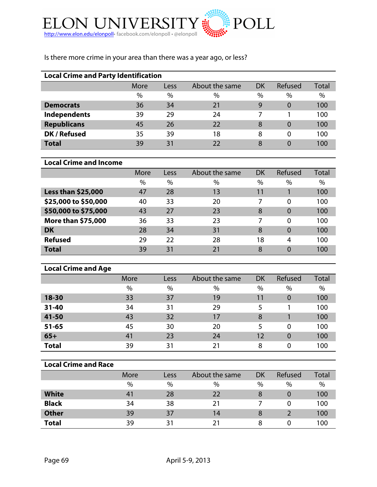

#### Is there more crime in your area than there was a year ago, or less?

| <b>Local Crime and Party Identification</b> |      |      |                |      |         |       |  |  |  |
|---------------------------------------------|------|------|----------------|------|---------|-------|--|--|--|
|                                             | More | Less | About the same | DK   | Refused | Total |  |  |  |
|                                             | $\%$ | $\%$ | $\%$           | $\%$ | $\%$    | $\%$  |  |  |  |
| <b>Democrats</b>                            | 36   | 34   | 21             | 9    | 0       | 100   |  |  |  |
| Independents                                | 39   | 29   | 24             |      |         | 100   |  |  |  |
| <b>Republicans</b>                          | 45   | 26   | 22             | 8    | 0       | 100   |  |  |  |
| DK / Refused                                | 35   | 39   | 18             | 8    | 0       | 100   |  |  |  |
| <b>Total</b>                                | 39   | 31   | 22             | 8    |         | 100   |  |  |  |

#### **Local Crime and Income**

|                           | More | Less | About the same | DK   | Refused        | Total |
|---------------------------|------|------|----------------|------|----------------|-------|
|                           | $\%$ | %    | %              | $\%$ | $\%$           | %     |
| <b>Less than \$25,000</b> | 47   | 28   | 13             | 11   |                | 100   |
| \$25,000 to \$50,000      | 40   | 33   | 20             |      | 0              | 100   |
| \$50,000 to \$75,000      | 43   | 27   | 23             | 8    | $\overline{0}$ | 100   |
| <b>More than \$75,000</b> | 36   | 33   | 23             | 7    | $\Omega$       | 100   |
| <b>DK</b>                 | 28   | 34   | 31             | 8    | $\overline{0}$ | 100   |
| <b>Refused</b>            | 29   | 22   | 28             | 18   | 4              | 100   |
| <b>Total</b>              | 39   | 31   | 21             | 8    | $\Omega$       | 100   |

# **Local Crime and Age**

|              | More | Less | About the same | DK   | Refused        | <b>Total</b> |
|--------------|------|------|----------------|------|----------------|--------------|
|              | %    | %    | $\%$           | $\%$ | $\%$           | %            |
| 18-30        | 33   | 37   | 19             | 11   | $\mathbf 0$    | 100          |
| $31 - 40$    | 34   | 31   | 29             | 5    |                | 100          |
| 41-50        | 43   | 32   | 17             | 8    |                | 100          |
| $51 - 65$    | 45   | 30   | 20             | 5    | 0              | 100          |
| $65+$        | 41   | 23   | 24             | 12   | $\overline{0}$ | 100          |
| <b>Total</b> | 39   | 31   | 21             | 8    | 0              | 100          |

# **Local Crime and Race** More Less About the same DK Refused Total % % % % % % **100 White** 41 28 22 8 0 100 **Black** 34 38 21 7 0 100 **Other** 39 37 14 8 2 100 **Total** 39 31 21 8 0 100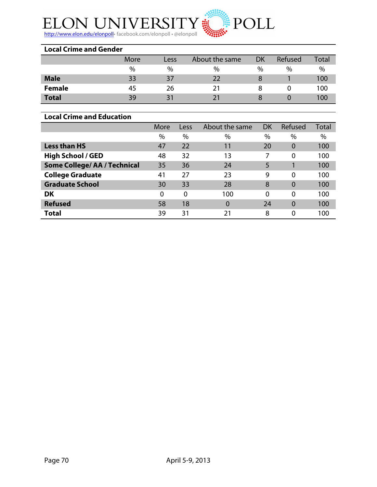# ELON UNIVERSIT

http://www.elon.edu/elonpoll• facebook.com/elonpoll • @elonpoll



 $\mathrm{Y}$  :

POLL

#### **Local Crime and Education**

|                                  | More | Less | About the same | DK       | Refused        | Total |
|----------------------------------|------|------|----------------|----------|----------------|-------|
|                                  | $\%$ | $\%$ | $\%$           | $\%$     | $\%$           | $\%$  |
| <b>Less than HS</b>              | 47   | 22   | 11             | 20       | $\mathbf 0$    | 100   |
| <b>High School / GED</b>         | 48   | 32   | 13             |          | 0              | 100   |
| <b>Some College/AA/Technical</b> | 35   | 36   | 24             |          |                | 100   |
| <b>College Graduate</b>          | 41   | 27   | 23             | 9        | $\Omega$       | 100   |
| <b>Graduate School</b>           | 30   | 33   | 28             | 8        | $\overline{0}$ | 100   |
| <b>DK</b>                        | 0    | 0    | 100            | $\Omega$ | $\Omega$       | 100   |
| <b>Refused</b>                   | 58   | 18   | 0              | 24       | $\Omega$       | 100   |
| <b>Total</b>                     | 39   | 31   | 21             | 8        | $\Omega$       | 100   |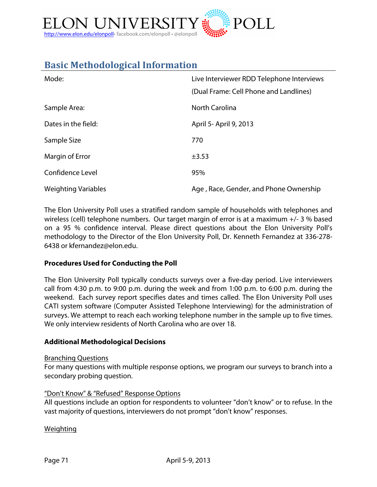

# **Basic Methodological Information**

| Mode:                      | Live Interviewer RDD Telephone Interviews |
|----------------------------|-------------------------------------------|
|                            | (Dual Frame: Cell Phone and Landlines)    |
| Sample Area:               | <b>North Carolina</b>                     |
| Dates in the field:        | April 5- April 9, 2013                    |
| Sample Size                | 770                                       |
| Margin of Error            | $\pm$ 3.53                                |
| Confidence Level           | 95%                                       |
| <b>Weighting Variables</b> | Age, Race, Gender, and Phone Ownership    |

The Elon University Poll uses a stratified random sample of households with telephones and wireless (cell) telephone numbers. Our target margin of error is at a maximum +/- 3 % based on a 95 % confidence interval. Please direct questions about the Elon University Poll's methodology to the Director of the Elon University Poll, Dr. Kenneth Fernandez at 336-278- 6438 or kfernandez@elon.edu.

#### **Procedures Used for Conducting the Poll**

The Elon University Poll typically conducts surveys over a five-day period. Live interviewers call from 4:30 p.m. to 9:00 p.m. during the week and from 1:00 p.m. to 6:00 p.m. during the weekend. Each survey report specifies dates and times called. The Elon University Poll uses CATI system software (Computer Assisted Telephone Interviewing) for the administration of surveys. We attempt to reach each working telephone number in the sample up to five times. We only interview residents of North Carolina who are over 18.

#### **Additional Methodological Decisions**

#### Branching Questions

For many questions with multiple response options, we program our surveys to branch into a secondary probing question.

#### "Don't Know" & "Refused" Response Options

All questions include an option for respondents to volunteer "don't know" or to refuse. In the vast majority of questions, interviewers do not prompt "don't know" responses.

Weighting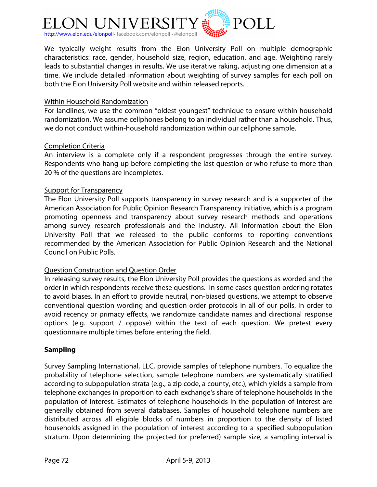

We typically weight results from the Elon University Poll on multiple demographic characteristics: race, gender, household size, region, education, and age. Weighting rarely leads to substantial changes in results. We use iterative raking, adjusting one dimension at a time. We include detailed information about weighting of survey samples for each poll on both the Elon University Poll website and within released reports.

#### Within Household Randomization

For landlines, we use the common "oldest-youngest" technique to ensure within household randomization. We assume cellphones belong to an individual rather than a household. Thus, we do not conduct within-household randomization within our cellphone sample.

#### Completion Criteria

An interview is a complete only if a respondent progresses through the entire survey. Respondents who hang up before completing the last question or who refuse to more than 20 % of the questions are incompletes.

#### Support for Transparency

The Elon University Poll supports transparency in survey research and is a supporter of the American Association for Public Opinion Research Transparency Initiative, which is a program promoting openness and transparency about survey research methods and operations among survey research professionals and the industry. All information about the Elon University Poll that we released to the public conforms to reporting conventions recommended by the American Association for Public Opinion Research and the National Council on Public Polls.

#### Question Construction and Question Order

In releasing survey results, the Elon University Poll provides the questions as worded and the order in which respondents receive these questions. In some cases question ordering rotates to avoid biases. In an effort to provide neutral, non-biased questions, we attempt to observe conventional question wording and question order protocols in all of our polls. In order to avoid recency or primacy effects, we randomize candidate names and directional response options (e.g. support / oppose) within the text of each question. We pretest every questionnaire multiple times before entering the field.

#### **Sampling**

Survey Sampling International, LLC, provide samples of telephone numbers. To equalize the probability of telephone selection, sample telephone numbers are systematically stratified according to subpopulation strata (e.g., a zip code, a county, etc.), which yields a sample from telephone exchanges in proportion to each exchange's share of telephone households in the population of interest. Estimates of telephone households in the population of interest are generally obtained from several databases. Samples of household telephone numbers are distributed across all eligible blocks of numbers in proportion to the density of listed households assigned in the population of interest according to a specified subpopulation stratum. Upon determining the projected (or preferred) sample size, a sampling interval is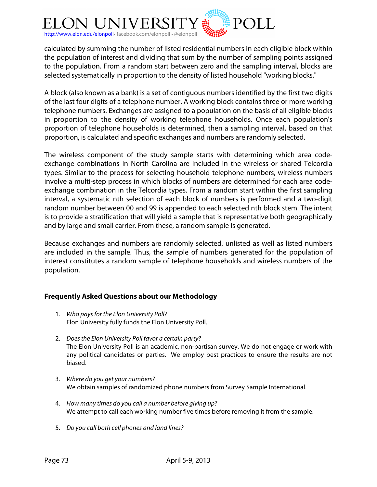

calculated by summing the number of listed residential numbers in each eligible block within the population of interest and dividing that sum by the number of sampling points assigned to the population. From a random start between zero and the sampling interval, blocks are selected systematically in proportion to the density of listed household "working blocks."

A block (also known as a bank) is a set of contiguous numbers identified by the first two digits of the last four digits of a telephone number. A working block contains three or more working telephone numbers. Exchanges are assigned to a population on the basis of all eligible blocks in proportion to the density of working telephone households. Once each population's proportion of telephone households is determined, then a sampling interval, based on that proportion, is calculated and specific exchanges and numbers are randomly selected.

The wireless component of the study sample starts with determining which area codeexchange combinations in North Carolina are included in the wireless or shared Telcordia types. Similar to the process for selecting household telephone numbers, wireless numbers involve a multi-step process in which blocks of numbers are determined for each area codeexchange combination in the Telcordia types. From a random start within the first sampling interval, a systematic nth selection of each block of numbers is performed and a two-digit random number between 00 and 99 is appended to each selected nth block stem. The intent is to provide a stratification that will yield a sample that is representative both geographically and by large and small carrier. From these, a random sample is generated.

Because exchanges and numbers are randomly selected, unlisted as well as listed numbers are included in the sample. Thus, the sample of numbers generated for the population of interest constitutes a random sample of telephone households and wireless numbers of the population.

### **Frequently Asked Questions about our Methodology**

- 1. *Who pays for the Elon University Poll?* Elon University fully funds the Elon University Poll.
- 2. *Does the Elon University Poll favor a certain party?* The Elon University Poll is an academic, non-partisan survey. We do not engage or work with any political candidates or parties. We employ best practices to ensure the results are not biased.
- 3. *Where do you get your numbers?* We obtain samples of randomized phone numbers from Survey Sample International.
- 4. *How many times do you call a number before giving up?* We attempt to call each working number five times before removing it from the sample.
- 5. *Do you call both cell phones and land lines?*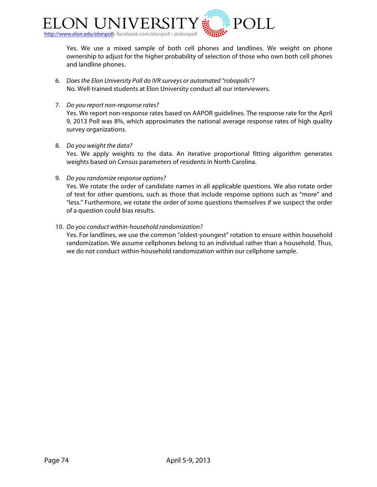

Yes. We use a mixed sample of both cell phones and landlines. We weight on phone ownership to adjust for the higher probability of selection of those who own both cell phones and landline phones.

- 6. *Does the Elon University Poll do IVR surveys or automated "robopolls"?* No. Well-trained students at Elon University conduct all our interviewers.
- 7. *Do you report non-response rates?*

Yes. We report non-response rates based on AAPOR guidelines. The response rate for the April 9, 2013 Poll was 8%, which approximates the national average response rates of high quality survey organizations.

8. *Do you weight the data?*

Yes. We apply weights to the data. An iterative proportional fitting algorithm generates weights based on Census parameters of residents in North Carolina.

9. *Do you randomize response options?*

Yes. We rotate the order of candidate names in all applicable questions. We also rotate order of text for other questions, such as those that include response options such as "more" and "less." Furthermore, we rotate the order of some questions themselves if we suspect the order of a question could bias results.

10. *Do you conduct within-household randomization?*

Yes. For landlines, we use the common "oldest-youngest" rotation to ensure within household randomization. We assume cellphones belong to an individual rather than a household. Thus, we do not conduct within-household randomization within our cellphone sample.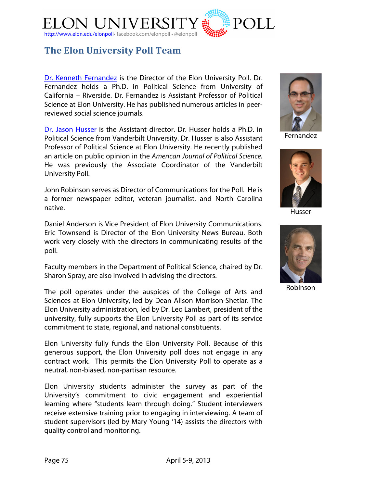

# **The Elon University Poll Team**

Dr. Kenneth Fernandez is the Director of the Elon University Poll. Dr. Fernandez holds a Ph.D. in Political Science from University of California – Riverside. Dr. Fernandez is Assistant Professor of Political Science at Elon University. He has published numerous articles in peerreviewed social science journals.

Dr. Jason Husser is the Assistant director. Dr. Husser holds a Ph.D. in Political Science from Vanderbilt University. Dr. Husser is also Assistant Professor of Political Science at Elon University. He recently published an article on public opinion in the *American Journal of Political Science.*  He was previously the Associate Coordinator of the Vanderbilt University Poll.

John Robinson serves as Director of Communications for the Poll. He is a former newspaper editor, veteran journalist, and North Carolina native.

Daniel Anderson is Vice President of Elon University Communications. Eric Townsend is Director of the Elon University News Bureau. Both work very closely with the directors in communicating results of the poll.

Faculty members in the Department of Political Science, chaired by Dr. Sharon Spray, are also involved in advising the directors.

The poll operates under the auspices of the College of Arts and Sciences at Elon University, led by Dean Alison Morrison-Shetlar. The Elon University administration, led by Dr. Leo Lambert, president of the university, fully supports the Elon University Poll as part of its service commitment to state, regional, and national constituents.

Elon University fully funds the Elon University Poll. Because of this generous support, the Elon University poll does not engage in any contract work. This permits the Elon University Poll to operate as a neutral, non-biased, non-partisan resource.

Elon University students administer the survey as part of the University's commitment to civic engagement and experiential learning where "students learn through doing." Student interviewers receive extensive training prior to engaging in interviewing. A team of student supervisors (led by Mary Young '14) assists the directors with quality control and monitoring.



Fernandez



Husser



Robinson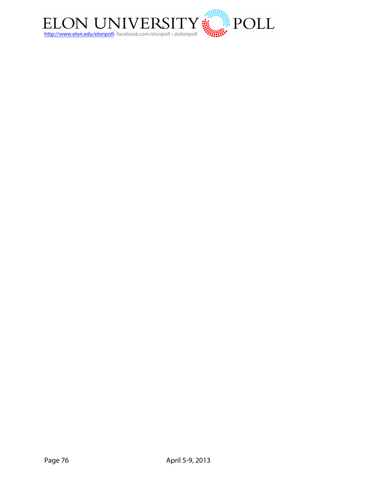